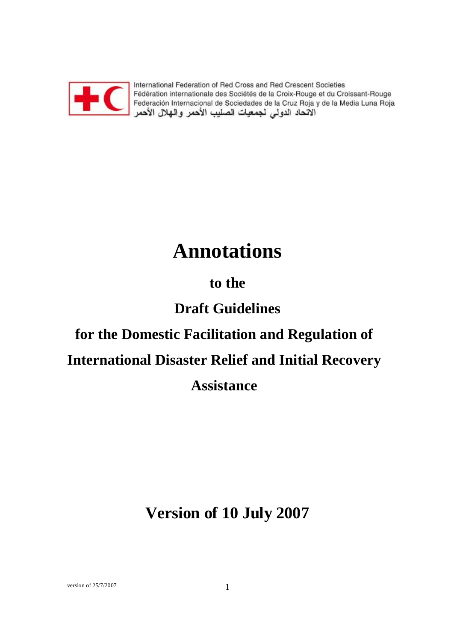

International Federation of Red Cross and Red Crescent Societies memandrial Pederation of Red Cross and Red Crescent Societies<br>Fédération internationale des Sociétés de la Croix-Rouge et du Croissant-Rouge<br>Federación Internacional de Sociedades de la Cruz Roja y de la Media Luna Roja<br>ا

# **Annotations**

# **to the**

# **Draft Guidelines**

# **for the Domestic Facilitation and Regulation of International Disaster Relief and Initial Recovery Assistance**

**Version of 10 July 2007**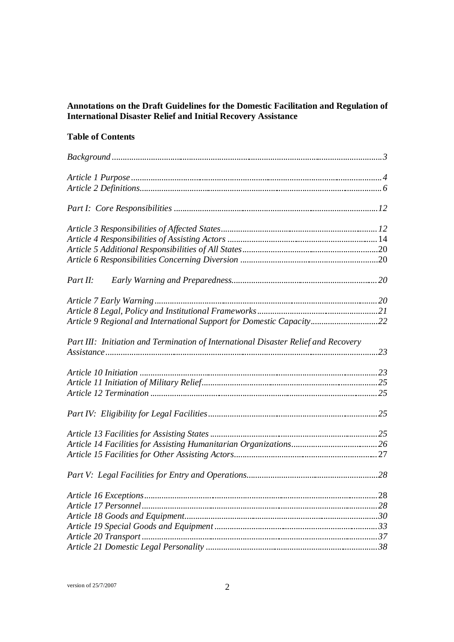# **Annotations on the Draft Guidelines for the Domestic Facilitation and Regulation of International Disaster Relief and Initial Recovery Assistance**

# **Table of Contents**

| Part II:                                                                           |  |
|------------------------------------------------------------------------------------|--|
|                                                                                    |  |
|                                                                                    |  |
| Article 9 Regional and International Support for Domestic Capacity22               |  |
| Part III: Initiation and Termination of International Disaster Relief and Recovery |  |
|                                                                                    |  |
|                                                                                    |  |
|                                                                                    |  |
|                                                                                    |  |
|                                                                                    |  |
|                                                                                    |  |
|                                                                                    |  |
|                                                                                    |  |
|                                                                                    |  |
|                                                                                    |  |
|                                                                                    |  |
|                                                                                    |  |
|                                                                                    |  |
|                                                                                    |  |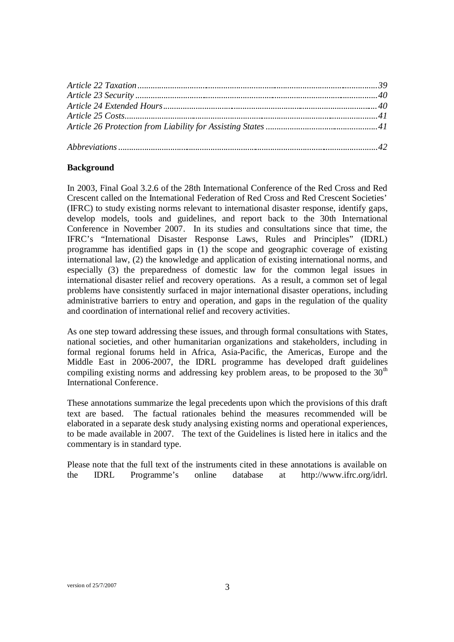# **Background**

In 2003, Final Goal 3.2.6 of the 28th International Conference of the Red Cross and Red Crescent called on the International Federation of Red Cross and Red Crescent Societies' (IFRC) to study existing norms relevant to international disaster response, identify gaps, develop models, tools and guidelines, and report back to the 30th International Conference in November 2007. In its studies and consultations since that time, the IFRC's "International Disaster Response Laws, Rules and Principles" (IDRL) programme has identified gaps in (1) the scope and geographic coverage of existing international law, (2) the knowledge and application of existing international norms, and especially (3) the preparedness of domestic law for the common legal issues in international disaster relief and recovery operations. As a result, a common set of legal problems have consistently surfaced in major international disaster operations, including administrative barriers to entry and operation, and gaps in the regulation of the quality and coordination of international relief and recovery activities.

As one step toward addressing these issues, and through formal consultations with States, national societies, and other humanitarian organizations and stakeholders, including in formal regional forums held in Africa, Asia-Pacific, the Americas, Europe and the Middle East in 2006-2007, the IDRL programme has developed draft guidelines compiling existing norms and addressing key problem areas, to be proposed to the  $30<sup>th</sup>$ International Conference.

These annotations summarize the legal precedents upon which the provisions of this draft text are based. The factual rationales behind the measures recommended will be elaborated in a separate desk study analysing existing norms and operational experiences, to be made available in 2007. The text of the Guidelines is listed here in italics and the commentary is in standard type.

Please note that the full text of the instruments cited in these annotations is available on the IDRL Programme's online database at http://www.ifrc.org/idrl.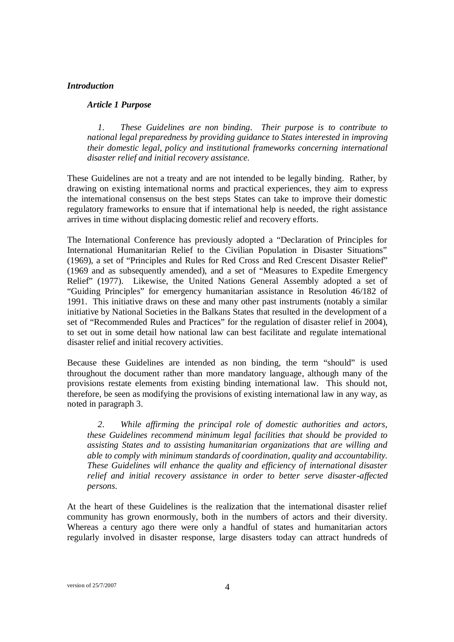#### *Introduction*

#### *Article 1 Purpose*

*1. These Guidelines are non binding. Their purpose is to contribute to national legal preparedness by providing guidance to States interested in improving their domestic legal, policy and institutional frameworks concerning international disaster relief and initial recovery assistance.* 

These Guidelines are not a treaty and are not intended to be legally binding. Rather, by drawing on existing international norms and practical experiences, they aim to express the international consensus on the best steps States can take to improve their domestic regulatory frameworks to ensure that if international help is needed, the right assistance arrives in time without displacing domestic relief and recovery efforts.

The International Conference has previously adopted a "Declaration of Principles for International Humanitarian Relief to the Civilian Population in Disaster Situations" (1969), a set of "Principles and Rules for Red Cross and Red Crescent Disaster Relief" (1969 and as subsequently amended), and a set of "Measures to Expedite Emergency Relief" (1977). Likewise, the United Nations General Assembly adopted a set of "Guiding Principles" for emergency humanitarian assistance in Resolution 46/182 of 1991. This initiative draws on these and many other past instruments (notably a similar initiative by National Societies in the Balkans States that resulted in the development of a set of "Recommended Rules and Practices" for the regulation of disaster relief in 2004), to set out in some detail how national law can best facilitate and regulate international disaster relief and initial recovery activities.

Because these Guidelines are intended as non binding, the term "should" is used throughout the document rather than more mandatory language, although many of the provisions restate elements from existing binding international law. This should not, therefore, be seen as modifying the provisions of existing international law in any way, as noted in paragraph 3.

*2. While affirming the principal role of domestic authorities and actors, these Guidelines recommend minimum legal facilities that should be provided to assisting States and to assisting humanitarian organizations that are willing and able to comply with minimum standards of coordination, quality and accountability. These Guidelines will enhance the quality and efficiency of international disaster relief and initial recovery assistance in order to better serve disaster-affected persons.* 

At the heart of these Guidelines is the realization that the international disaster relief community has grown enormously, both in the numbers of actors and their diversity. Whereas a century ago there were only a handful of states and humanitarian actors regularly involved in disaster response, large disasters today can attract hundreds of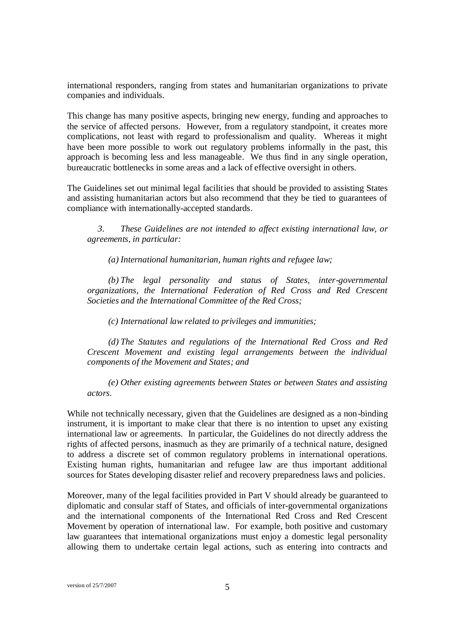international responders, ranging from states and humanitarian organizations to private companies and individuals.

This change has many positive aspects, bringing new energy, funding and approaches to the service of affected persons. However, from a regulatory standpoint, it creates more complications, not least with regard to professionalism and quality. Whereas it might have been more possible to work out regulatory problems informally in the past, this approach is becoming less and less manageable. We thus find in any single operation, bureaucratic bottlenecks in some areas and a lack of effective oversight in others.

The Guidelines set out minimal legal facilities that should be provided to assisting States and assisting humanitarian actors but also recommend that they be tied to guarantees of compliance with internationally-accepted standards.

*3. These Guidelines are not intended to af ect existing international law, or agreements, in particular:* 

*(a) International humanitarian, human rights and refugee law;*

*(b) The legal personality and status of States, inter-governmental organizations, the International Federation of Red Cross and Red Crescent Societies and the International Committee of the Red Cross;*

*(c) International law related to privileges and immunities;* 

*(d) The Statutes and regulations of the International Red Cross and Red Crescent Movement and existing legal arrangements between the individual components of the Movement and States; and*

*(e) Other existing agreements between States or between States and assisting actors.*

While not technically necessary, given that the Guidelines are designed as a non-binding instrument, it is important to make clear that there is no intention to upset any existing international law or agreements. In particular, the Guidelines do not directly address the rights of affected persons, inasmuch as they are primarily of a technical nature, designed to address a discrete set of common regulatory problems in international operations. Existing human rights, humanitarian and refugee law are thus important additional sources for States developing disaster relief and recovery preparedness laws and policies.

Moreover, many of the legal facilities provided in Part V should already be guaranteed to diplomatic and consular staff of States, and officials of inter-governmental organizations and the international components of the International Red Cross and Red Crescent Movement by operation of international law. For example, both positive and customary law guarantees that international organizations must enjoy a domestic legal personality allowing them to undertake certain legal actions, such as entering into contracts and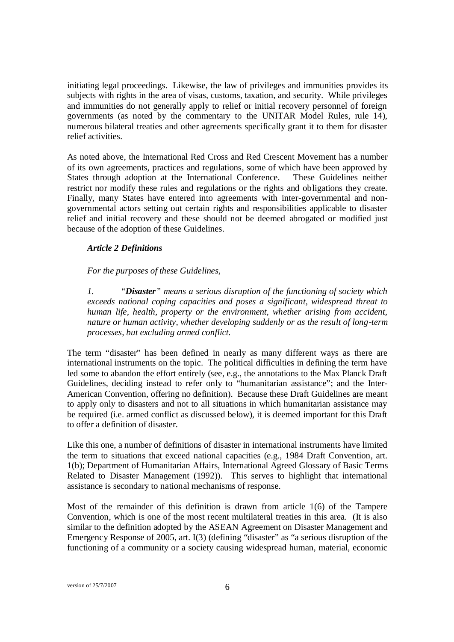initiating legal proceedings. Likewise, the law of privileges and immunities provides its subjects with rights in the area of visas, customs, taxation, and security. While privileges and immunities do not generally apply to relief or initial recovery personnel of foreign governments (as noted by the commentary to the UNITAR Model Rules, rule 14), numerous bilateral treaties and other agreements specifically grant it to them for disaster relief activities.

As noted above, the International Red Cross and Red Crescent Movement has a number of its own agreements, practices and regulations, some of which have been approved by States through adoption at the International Conference. These Guidelines neither restrict nor modify these rules and regulations or the rights and obligations they create. Finally, many States have entered into agreements with inter-governmental and nongovernmental actors setting out certain rights and responsibilities applicable to disaster relief and initial recovery and these should not be deemed abrogated or modified just because of the adoption of these Guidelines.

### *Article 2 Definitions*

*For the purposes of these Guidelines,*

*1. "Disaster" means a serious disruption of the functioning of society which exceeds national coping capacities and poses a significant, widespread threat to human life, health, property or the environment, whether arising from accident, nature or human activity, whether developing suddenly or as the result of long-term processes, but excluding armed conflict.* 

The term "disaster" has been defined in nearly as many different ways as there are international instruments on the topic. The political difficulties in defining the term have led some to abandon the effort entirely (see, e.g., the annotations to the Max Planck Draft Guidelines, deciding instead to refer only to "humanitarian assistance"; and the Inter-American Convention, offering no definition). Because these Draft Guidelines are meant to apply only to disasters and not to all situations in which humanitarian assistance may be required (i.e. armed conflict as discussed below), it is deemed important for this Draft to offer a definition of disaster.

Like this one, a number of definitions of disaster in international instruments have limited the term to situations that exceed national capacities (e.g., 1984 Draft Convention, art. 1(b); Department of Humanitarian Affairs, International Agreed Glossary of Basic Terms Related to Disaster Management (1992)). This serves to highlight that international assistance is secondary to national mechanisms of response.

Most of the remainder of this definition is drawn from article 1(6) of the Tampere Convention, which is one of the most recent multilateral treaties in this area. (It is also similar to the definition adopted by the ASEAN Agreement on Disaster Management and Emergency Response of 2005, art. I(3) (defining "disaster" as "a serious disruption of the functioning of a community or a society causing widespread human, material, economic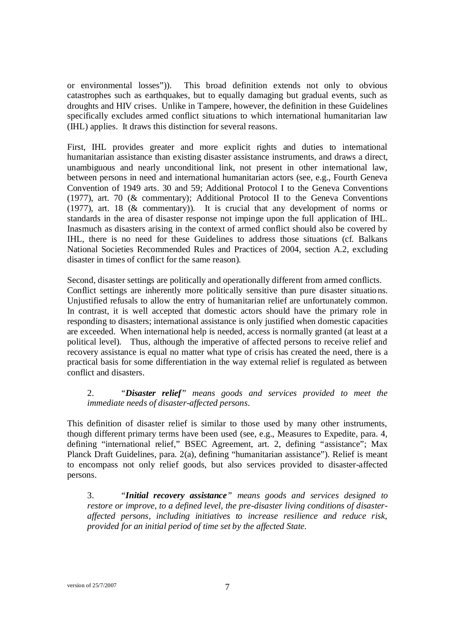or environmental losses")). This broad definition extends not only to obvious catastrophes such as earthquakes, but to equally damaging but gradual events, such as droughts and HIV crises. Unlike in Tampere, however, the definition in these Guidelines specifically excludes armed conflict situations to which international humanitarian law (IHL) applies. It draws this distinction for several reasons.

First, IHL provides greater and more explicit rights and duties to international humanitarian assistance than existing disaster assistance instruments, and draws a direct, unambiguous and nearly unconditional link, not present in other international law, between persons in need and international humanitarian actors (see, e.g., Fourth Geneva Convention of 1949 arts. 30 and 59; Additional Protocol I to the Geneva Conventions (1977), art. 70 (& commentary); Additional Protocol II to the Geneva Conventions (1977), art. 18 (& commentary)). It is crucial that any development of norms or standards in the area of disaster response not impinge upon the full application of IHL. Inasmuch as disasters arising in the context of armed conflict should also be covered by IHL, there is no need for these Guidelines to address those situations (cf. Balkans National Societies Recommended Rules and Practices of 2004, section A.2, excluding disaster in times of conflict for the same reason).

Second, disaster settings are politically and operationally different from armed conflicts. Conflict settings are inherently more politically sensitive than pure disaster situatio ns. Unjustified refusals to allow the entry of humanitarian relief are unfortunately common. In contrast, it is well accepted that domestic actors should have the primary role in responding to disasters; international assistance is only justified when domestic capacities are exceeded. When international help is needed, access is normally granted (at least at a political level). Thus, although the imperative of affected persons to receive relief and recovery assistance is equal no matter what type of crisis has created the need, there is a practical basis for some differentiation in the way external relief is regulated as between conflict and disasters.

# 2. *"Disaster relief" means goods and services provided to meet the immediate needs of disaster-affected persons*.

This definition of disaster relief is similar to those used by many other instruments, though different primary terms have been used (see, e.g., Measures to Expedite, para. 4, defining "international relief," BSEC Agreement, art. 2, defining "assistance"; Max Planck Draft Guidelines, para. 2(a), defining "humanitarian assistance"). Relief is meant to encompass not only relief goods, but also services provided to disaster-affected persons.

3. *"Initial recovery assistance" means goods and services designed to restore or improve, to a defined level, the pre-disaster living conditions of disasteraffected persons, including initiatives to increase resilience and reduce risk, provided for an initial period of time set by the affected State.*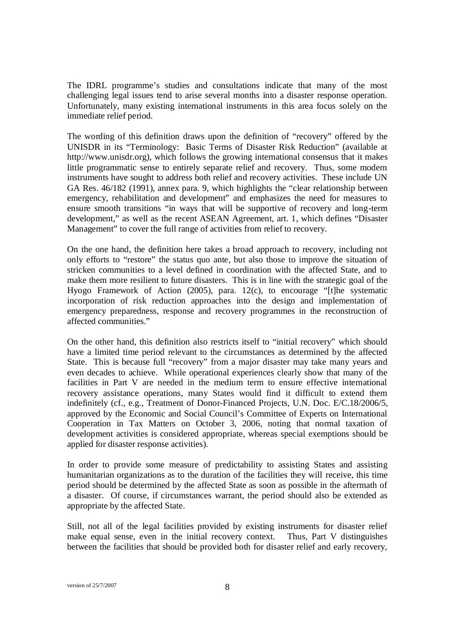The IDRL programme's studies and consultations indicate that many of the most challenging legal issues tend to arise several months into a disaster response operation. Unfortunately, many existing international instruments in this area focus solely on the immediate relief period.

The wording of this definition draws upon the definition of "recovery" offered by the UNISDR in its "Terminology: Basic Terms of Disaster Risk Reduction" (available at http://www.unisdr.org), which follows the growing international consensus that it makes little programmatic sense to entirely separate relief and recovery. Thus, some modern instruments have sought to address both relief and recovery activities. These include UN GA Res. 46/182 (1991), annex para. 9, which highlights the "clear relationship between emergency, rehabilitation and development" and emphasizes the need for measures to ensure smooth transitions "in ways that will be supportive of recovery and long-term development," as well as the recent ASEAN Agreement, art. 1, which defines "Disaster Management" to cover the full range of activities from relief to recovery.

On the one hand, the definition here takes a broad approach to recovery, including not only efforts to "restore" the status quo ante, but also those to improve the situation of stricken communities to a level defined in coordination with the affected State, and to make them more resilient to future disasters. This is in line with the strategic goal of the Hyogo Framework of Action (2005), para. 12(c), to encourage "[t]he systematic incorporation of risk reduction approaches into the design and implementation of emergency preparedness, response and recovery programmes in the reconstruction of affected communities."

On the other hand, this definition also restricts itself to "initial recovery" which should have a limited time period relevant to the circumstances as determined by the affected State. This is because full "recovery" from a major disaster may take many years and even decades to achieve. While operational experiences clearly show that many of the facilities in Part V are needed in the medium term to ensure effective international recovery assistance operations, many States would find it difficult to extend them indefinitely (cf., e.g., Treatment of Donor-Financed Projects, U.N. Doc. E/C.18/2006/5, approved by the Economic and Social Council's Committee of Experts on International Cooperation in Tax Matters on October 3, 2006, noting that normal taxation of development activities is considered appropriate, whereas special exemptions should be applied for disaster response activities).

In order to provide some measure of predictability to assisting States and assisting humanitarian organizations as to the duration of the facilities they will receive, this time period should be determined by the affected State as soon as possible in the aftermath of a disaster. Of course, if circumstances warrant, the period should also be extended as appropriate by the affected State.

Still, not all of the legal facilities provided by existing instruments for disaster relief make equal sense, even in the initial recovery context. Thus, Part V distinguishes between the facilities that should be provided both for disaster relief and early recovery,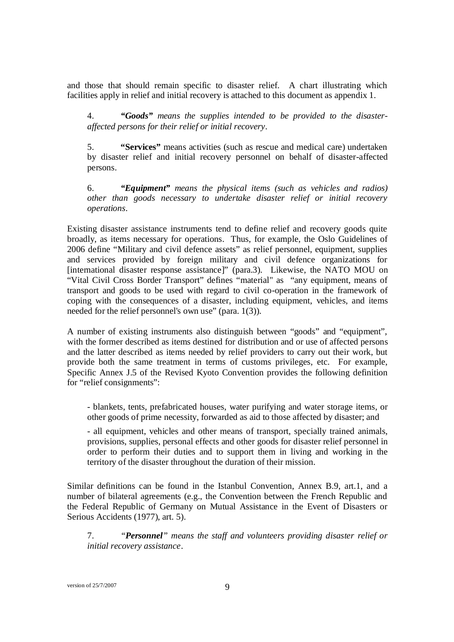and those that should remain specific to disaster relief. A chart illustrating which facilities apply in relief and initial recovery is attached to this document as appendix 1.

4. *"Goods" means the supplies intended to be provided to the disasteraffected persons for their relief or initial recovery*.

5. **"Services"** means activities (such as rescue and medical care) undertaken by disaster relief and initial recovery personnel on behalf of disaster-affected persons.

6. *"Equipment" means the physical items (such as vehicles and radios) other than goods necessary to undertake disaster relief or initial recovery operations*.

Existing disaster assistance instruments tend to define relief and recovery goods quite broadly, as items necessary for operations. Thus, for example, the Oslo Guidelines of 2006 define "Military and civil defence assets" as relief personnel, equipment, supplies and services provided by foreign military and civil defence organizations for [international disaster response assistance]" (para.3). Likewise, the NATO MOU on "Vital Civil Cross Border Transport" defines "material" as "any equipment, means of transport and goods to be used with regard to civil co-operation in the framework of coping with the consequences of a disaster, including equipment, vehicles, and items needed for the relief personnel's own use" (para. 1(3)).

A number of existing instruments also distinguish between "goods" and "equipment", with the former described as items destined for distribution and or use of affected persons and the latter described as items needed by relief providers to carry out their work, but provide both the same treatment in terms of customs privileges, etc. For example, Specific Annex J.5 of the Revised Kyoto Convention provides the following definition for "relief consignments":

- blankets, tents, prefabricated houses, water purifying and water storage items, or other goods of prime necessity, forwarded as aid to those affected by disaster; and

- all equipment, vehicles and other means of transport, specially trained animals, provisions, supplies, personal effects and other goods for disaster relief personnel in order to perform their duties and to support them in living and working in the territory of the disaster throughout the duration of their mission.

Similar definitions can be found in the Istanbul Convention, Annex B.9, art.1, and a number of bilateral agreements (e.g., the Convention between the French Republic and the Federal Republic of Germany on Mutual Assistance in the Event of Disasters or Serious Accidents (1977), art. 5).

7. *"Personnel" means the staff and volunteers providing disaster relief or initial recovery assistance*.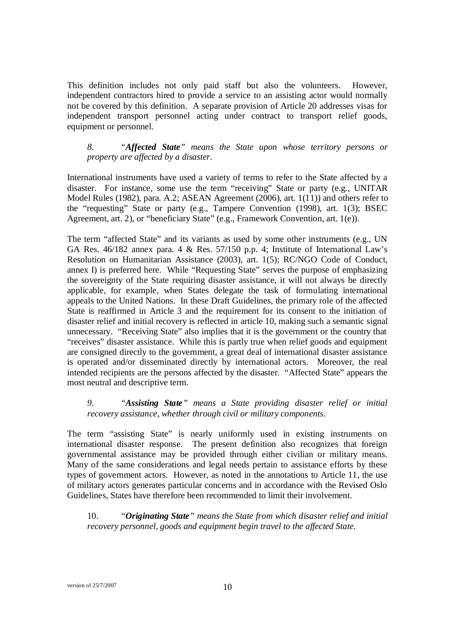This definition includes not only paid staff but also the volunteers. However, independent contractors hired to provide a service to an assisting actor would normally not be covered by this definition. A separate provision of Article 20 addresses visas for independent transport personnel acting under contract to transport relief goods, equipment or personnel.

*8. "Affected State" means the State upon whose territory persons or property are affected by a disaster.*

International instruments have used a variety of terms to refer to the State affected by a disaster. For instance, some use the term "receiving" State or party (e.g., UNITAR Model Rules (1982), para. A.2; ASEAN Agreement (2006), art. 1(11)) and others refer to the "requesting" State or party (e.g., Tampere Convention (1998), art. 1(3); BSEC Agreement, art. 2), or "beneficiary State" (e.g., Framework Convention, art. 1(e)).

The term "affected State" and its variants as used by some other instruments (e.g., UN GA Res. 46/182 annex para. 4 & Res. 57/150 p.p. 4; Institute of International Law's Resolution on Humanitarian Assistance (2003), art. 1(5); RC/NGO Code of Conduct, annex I) is preferred here. While "Requesting State" serves the purpose of emphasizing the sovereignty of the State requiring disaster assistance, it will not always be directly applicable, for example, when States delegate the task of formulating international appeals to the United Nations. In these Draft Guidelines, the primary role of the affected State is reaffirmed in Article 3 and the requirement for its consent to the initiation of disaster relief and initial recovery is reflected in article 10, making such a semantic signal unnecessary. "Receiving State" also implies that it is the government or the country that "receives" disaster assistance. While this is partly true when relief goods and equipment are consigned directly to the government, a great deal of international disaster assistance is operated and/or disseminated directly by international actors. Moreover, the real intended recipients are the persons affected by the disaster. "Affected State" appears the most neutral and descriptive term.

*9. "Assisting State" means a State providing disaster relief or initial recovery assistance, whether through civil or military components.*

The term "assisting State" is nearly uniformly used in existing instruments on international disaster response. The present definition also recognizes that foreign governmental assistance may be provided through either civilian or military means. Many of the same considerations and legal needs pertain to assistance efforts by these types of government actors. However, as noted in the annotations to Article 11, the use of military actors generates particular concerns and in accordance with the Revised Oslo Guidelines, States have therefore been recommended to limit their involvement.

10. *"Originating State" means the State from which disaster relief and initial recovery personnel, goods and equipment begin travel to the af ected State.*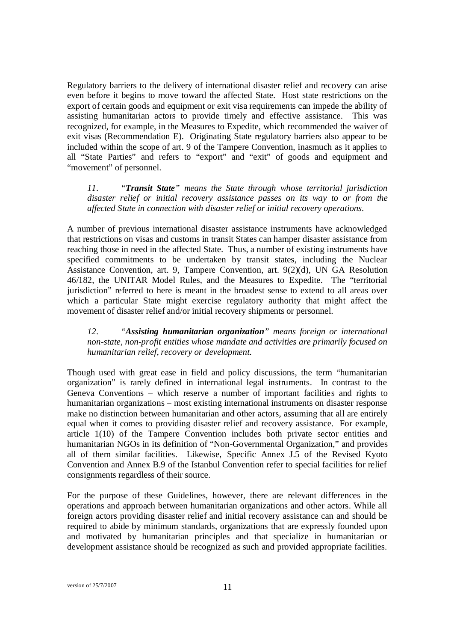Regulatory barriers to the delivery of international disaster relief and recovery can arise even before it begins to move toward the affected State. Host state restrictions on the export of certain goods and equipment or exit visa requirements can impede the ability of assisting humanitarian actors to provide timely and effective assistance. This was recognized, for example, in the Measures to Expedite, which recommended the waiver of exit visas (Recommendation E). Originating State regulatory barriers also appear to be included within the scope of art. 9 of the Tampere Convention, inasmuch as it applies to all "State Parties" and refers to "export" and "exit" of goods and equipment and "movement" of personnel.

*11. "Transit State" means the State through whose territorial jurisdiction disaster relief or initial recovery assistance passes on its way to or from the affected State in connection with disaster relief or initial recovery operations.*

A number of previous international disaster assistance instruments have acknowledged that restrictions on visas and customs in transit States can hamper disaster assistance from reaching those in need in the affected State. Thus, a number of existing instruments have specified commitments to be undertaken by transit states, including the Nuclear Assistance Convention, art. 9, Tampere Convention, art. 9(2)(d), UN GA Resolution 46/182, the UNITAR Model Rules, and the Measures to Expedite. The "territorial jurisdiction" referred to here is meant in the broadest sense to extend to all areas over which a particular State might exercise regulatory authority that might affect the movement of disaster relief and/or initial recovery shipments or personnel.

*12. "Assisting humanitarian organization" means foreign or international non-state, non-profit entities whose mandate and activities are primarily focused on humanitarian relief, recovery or development.* 

Though used with great ease in field and policy discussions, the term "humanitarian organization" is rarely defined in international legal instruments. In contrast to the Geneva Conventions – which reserve a number of important facilities and rights to humanitarian organizations – most existing international instruments on disaster response make no distinction between humanitarian and other actors, assuming that all are entirely equal when it comes to providing disaster relief and recovery assistance. For example, article 1(10) of the Tampere Convention includes both private sector entities and humanitarian NGOs in its definition of "Non-Governmental Organization," and provides all of them similar facilities. Likewise, Specific Annex J.5 of the Revised Kyoto Convention and Annex B.9 of the Istanbul Convention refer to special facilities for relief consignments regardless of their source.

For the purpose of these Guidelines, however, there are relevant differences in the operations and approach between humanitarian organizations and other actors. While all foreign actors providing disaster relief and initial recovery assistance can and should be required to abide by minimum standards, organizations that are expressly founded upon and motivated by humanitarian principles and that specialize in humanitarian or development assistance should be recognized as such and provided appropriate facilities.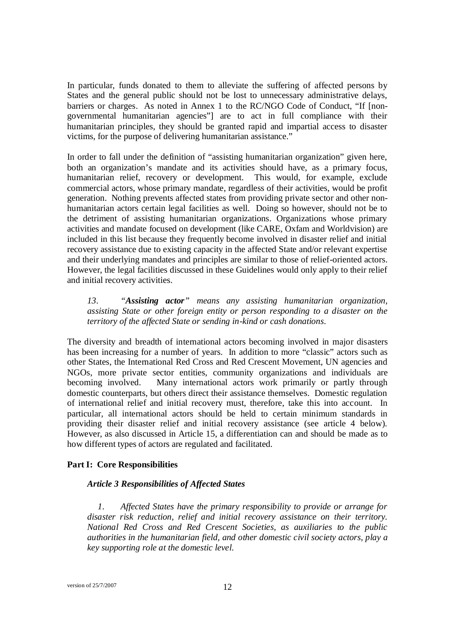In particular, funds donated to them to alleviate the suffering of affected persons by States and the general public should not be lost to unnecessary administrative delays, barriers or charges. As noted in Annex 1 to the RC/NGO Code of Conduct, "If [nongovernmental humanitarian agencies"] are to act in full compliance with their humanitarian principles, they should be granted rapid and impartial access to disaster victims, for the purpose of delivering humanitarian assistance."

In order to fall under the definition of "assisting humanitarian organization" given here, both an organization's mandate and its activities should have, as a primary focus, humanitarian relief, recovery or development. This would, for example, exclude commercial actors, whose primary mandate, regardless of their activities, would be profit generation. Nothing prevents affected states from providing private sector and other nonhumanitarian actors certain legal facilities as well. Doing so however, should not be to the detriment of assisting humanitarian organizations. Organizations whose primary activities and mandate focused on development (like CARE, Oxfam and Worldvision) are included in this list because they frequently become involved in disaster relief and initial recovery assistance due to existing capacity in the affected State and/or relevant expertise and their underlying mandates and principles are similar to those of relief-oriented actors. However, the legal facilities discussed in these Guidelines would only apply to their relief and initial recovery activities.

*13. "Assisting actor" means any assisting humanitarian organization, assisting State or other foreign entity or person responding to a disaster on the territory of the affected State or sending in-kind or cash donations.*

The diversity and breadth of international actors becoming involved in major disasters has been increasing for a number of years. In addition to more "classic" actors such as other States, the International Red Cross and Red Crescent Movement, UN agencies and NGOs, more private sector entities, community organizations and individuals are becoming involved. Many international actors work primarily or partly through domestic counterparts, but others direct their assistance themselves. Domestic regulation of international relief and initial recovery must, therefore, take this into account. In particular, all international actors should be held to certain minimum standards in providing their disaster relief and initial recovery assistance (see article 4 below). However, as also discussed in Article 15, a differentiation can and should be made as to how different types of actors are regulated and facilitated.

#### **Part I: Core Responsibilities**

#### *Article 3 Responsibilities of Affected States*

*1. Affected States have the primary responsibility to provide or arrange for disaster risk reduction, relief and initial recovery assistance on their territory. National Red Cross and Red Crescent Societies, as auxiliaries to the public authorities in the humanitarian field, and other domestic civil society actors, play a key supporting role at the domestic level.*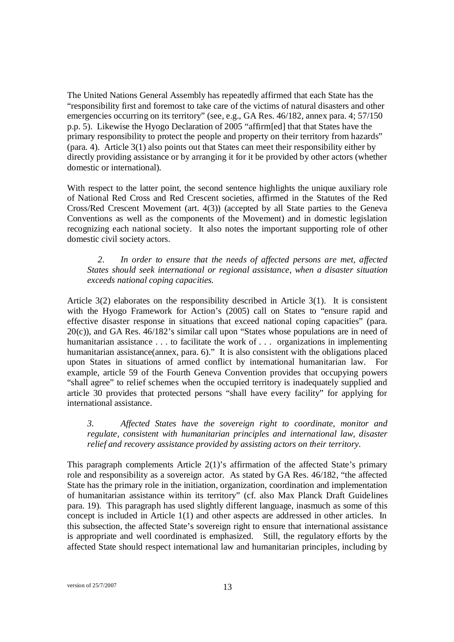The United Nations General Assembly has repeatedly affirmed that each State has the "responsibility first and foremost to take care of the victims of natural disasters and other emergencies occurring on its territory" (see, e.g., GA Res. 46/182, annex para. 4; 57/150 p.p. 5). Likewise the Hyogo Declaration of 2005 "affirm[ed] that that States have the primary responsibility to protect the people and property on their territory from hazards" (para. 4). Article 3(1) also points out that States can meet their responsibility either by directly providing assistance or by arranging it for it be provided by other actors (whether domestic or international).

With respect to the latter point, the second sentence highlights the unique auxiliary role of National Red Cross and Red Crescent societies, affirmed in the Statutes of the Red Cross/Red Crescent Movement (art. 4(3)) (accepted by all State parties to the Geneva Conventions as well as the components of the Movement) and in domestic legislation recognizing each national society. It also notes the important supporting role of other domestic civil society actors.

# *2. In order to ensure that the needs of affected persons are met, af ected States should seek international or regional assistance, when a disaster situation exceeds national coping capacities.*

Article 3(2) elaborates on the responsibility described in Article 3(1). It is consistent with the Hyogo Framework for Action's (2005) call on States to "ensure rapid and effective disaster response in situations that exceed national coping capacities" (para. 20(c)), and GA Res. 46/182's similar call upon "States whose populations are in need of humanitarian assistance . . . to facilitate the work of . . . organizations in implementing humanitarian assistance(annex, para. 6)." It is also consistent with the obligations placed upon States in situations of armed conflict by international humanitarian law. For example, article 59 of the Fourth Geneva Convention provides that occupying powers "shall agree" to relief schemes when the occupied territory is inadequately supplied and article 30 provides that protected persons "shall have every facility" for applying for international assistance.

*3. Affected States have the sovereign right to coordinate, monitor and regulate, consistent with humanitarian principles and international law, disaster relief and recovery assistance provided by assisting actors on their territory.* 

This paragraph complements Article 2(1)'s affirmation of the affected State's primary role and responsibility as a sovereign actor. As stated by GA Res. 46/182, "the affected State has the primary role in the initiation, organization, coordination and implementation of humanitarian assistance within its territory" (cf. also Max Planck Draft Guidelines para. 19). This paragraph has used slightly different language, inasmuch as some of this concept is included in Article 1(1) and other aspects are addressed in other articles. In this subsection, the affected State's sovereign right to ensure that international assistance is appropriate and well coordinated is emphasized. Still, the regulatory efforts by the affected State should respect international law and humanitarian principles, including by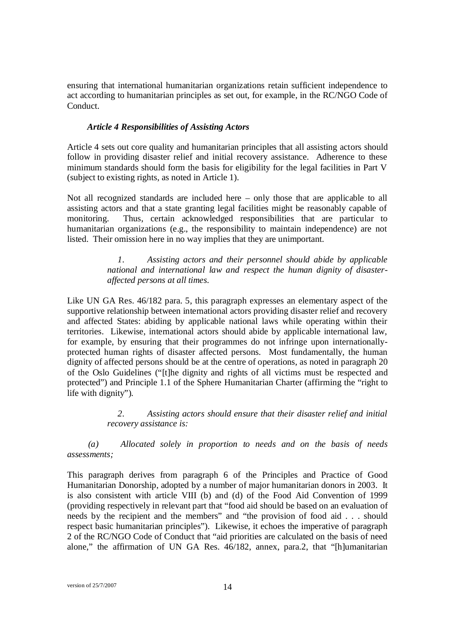ensuring that international humanitarian organizations retain sufficient independence to act according to humanitarian principles as set out, for example, in the RC/NGO Code of Conduct.

## *Article 4 Responsibilities of Assisting Actors*

Article 4 sets out core quality and humanitarian principles that all assisting actors should follow in providing disaster relief and initial recovery assistance. Adherence to these minimum standards should form the basis for eligibility for the legal facilities in Part V (subject to existing rights, as noted in Article 1).

Not all recognized standards are included here – only those that are applicable to all assisting actors and that a state granting legal facilities might be reasonably capable of monitoring. Thus, certain acknowledged responsibilities that are particular to humanitarian organizations (e.g., the responsibility to maintain independence) are not listed. Their omission here in no way implies that they are unimportant.

# *1. Assisting actors and their personnel should abide by applicable national and international law and respect the human dignity of disasteraffected persons at all times.*

Like UN GA Res. 46/182 para. 5, this paragraph expresses an elementary aspect of the supportive relationship between international actors providing disaster relief and recovery and affected States: abiding by applicable national laws while operating within their territories. Likewise, international actors should abide by applicable international law, for example, by ensuring that their programmes do not infringe upon internationallyprotected human rights of disaster affected persons. Most fundamentally, the human dignity of affected persons should be at the centre of operations, as noted in paragraph 20 of the Oslo Guidelines ("[t]he dignity and rights of all victims must be respected and protected") and Principle 1.1 of the Sphere Humanitarian Charter (affirming the "right to life with dignity").

# *2. Assisting actors should ensure that their disaster relief and initial recovery assistance is:*

*(a) Allocated solely in proportion to needs and on the basis of needs assessments;*

This paragraph derives from paragraph 6 of the Principles and Practice of Good Humanitarian Donorship, adopted by a number of major humanitarian donors in 2003. It is also consistent with article VIII (b) and (d) of the Food Aid Convention of 1999 (providing respectively in relevant part that "food aid should be based on an evaluation of needs by the recipient and the members" and "the provision of food aid . . . should respect basic humanitarian principles"). Likewise, it echoes the imperative of paragraph 2 of the RC/NGO Code of Conduct that "aid priorities are calculated on the basis of need alone," the affirmation of UN GA Res. 46/182, annex, para.2, that "[h]umanitarian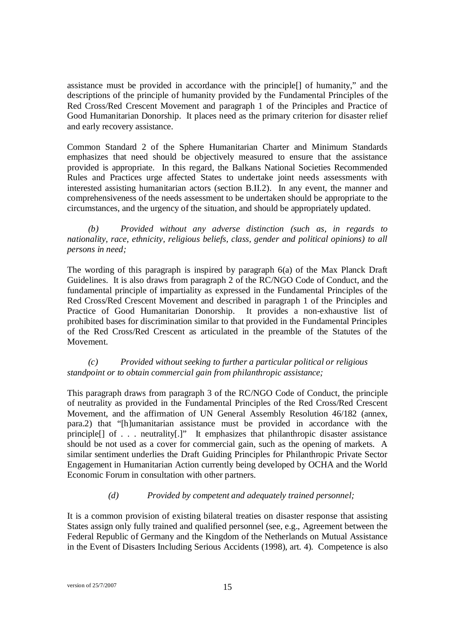assistance must be provided in accordance with the principle[] of humanity," and the descriptions of the principle of humanity provided by the Fundamental Principles of the Red Cross/Red Crescent Movement and paragraph 1 of the Principles and Practice of Good Humanitarian Donorship. It places need as the primary criterion for disaster relief and early recovery assistance.

Common Standard 2 of the Sphere Humanitarian Charter and Minimum Standards emphasizes that need should be objectively measured to ensure that the assistance provided is appropriate. In this regard, the Balkans National Societies Recommended Rules and Practices urge affected States to undertake joint needs assessments with interested assisting humanitarian actors (section B.II.2). In any event, the manner and comprehensiveness of the needs assessment to be undertaken should be appropriate to the circumstances, and the urgency of the situation, and should be appropriately updated.

*(b) Provided without any adverse distinction (such as, in regards to nationality, race, ethnicity, religious beliefs, class, gender and political opinions) to all persons in need;* 

The wording of this paragraph is inspired by paragraph 6(a) of the Max Planck Draft Guidelines. It is also draws from paragraph 2 of the RC/NGO Code of Conduct, and the fundamental principle of impartiality as expressed in the Fundamental Principles of the Red Cross/Red Crescent Movement and described in paragraph 1 of the Principles and Practice of Good Humanitarian Donorship. It provides a non-exhaustive list of prohibited bases for discrimination similar to that provided in the Fundamental Principles of the Red Cross/Red Crescent as articulated in the preamble of the Statutes of the Movement.

*(c) Provided without seeking to further a particular political or religious standpoint or to obtain commercial gain from philanthropic assistance;* 

This paragraph draws from paragraph 3 of the RC/NGO Code of Conduct, the principle of neutrality as provided in the Fundamental Principles of the Red Cross/Red Crescent Movement, and the affirmation of UN General Assembly Resolution 46/182 (annex, para.2) that "[h]umanitarian assistance must be provided in accordance with the principle[] of . . . neutrality[.]" It emphasizes that philanthropic disaster assistance should be not used as a cover for commercial gain, such as the opening of markets. A similar sentiment underlies the Draft Guiding Principles for Philanthropic Private Sector Engagement in Humanitarian Action currently being developed by OCHA and the World Economic Forum in consultation with other partners.

# *(d) Provided by competent and adequately trained personnel;*

It is a common provision of existing bilateral treaties on disaster response that assisting States assign only fully trained and qualified personnel (see, e.g., Agreement between the Federal Republic of Germany and the Kingdom of the Netherlands on Mutual Assistance in the Event of Disasters Including Serious Accidents (1998), art. 4). Competence is also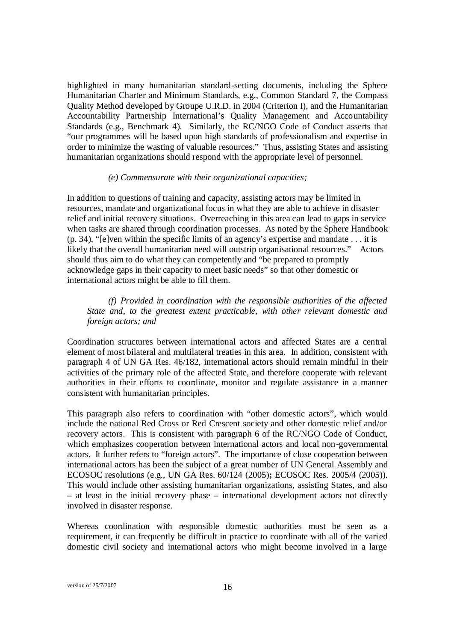highlighted in many humanitarian standard-setting documents, including the Sphere Humanitarian Charter and Minimum Standards, e.g., Common Standard 7, the Compass Quality Method developed by Groupe U.R.D. in 2004 (Criterion I), and the Humanitarian Accountability Partnership International's Quality Management and Accountability Standards (e.g., Benchmark 4). Similarly, the RC/NGO Code of Conduct asserts that "our programmes will be based upon high standards of professionalism and expertise in order to minimize the wasting of valuable resources." Thus, assisting States and assisting humanitarian organizations should respond with the appropriate level of personnel.

#### *(e) Commensurate with their organizational capacities;*

In addition to questions of training and capacity, assisting actors may be limited in resources, mandate and organizational focus in what they are able to achieve in disaster relief and initial recovery situations. Overreaching in this area can lead to gaps in service when tasks are shared through coordination processes. As noted by the Sphere Handbook (p. 34), "[e]ven within the specific limits of an agency's expertise and mandate . . . it is likely that the overall humanitarian need will outstrip organisational resources." Actors should thus aim to do what they can competently and "be prepared to promptly acknowledge gaps in their capacity to meet basic needs" so that other domestic or international actors might be able to fill them.

*(f) Provided in coordination with the responsible authorities of the affected State and, to the greatest extent practicable, with other relevant domestic and foreign actors; and* 

Coordination structures between international actors and affected States are a central element of most bilateral and multilateral treaties in this area. In addition, consistent with paragraph 4 of UN GA Res. 46/182, international actors should remain mindful in their activities of the primary role of the affected State, and therefore cooperate with relevant authorities in their efforts to coordinate, monitor and regulate assistance in a manner consistent with humanitarian principles.

This paragraph also refers to coordination with "other domestic actors", which would include the national Red Cross or Red Crescent society and other domestic relief and/or recovery actors. This is consistent with paragraph 6 of the RC/NGO Code of Conduct, which emphasizes cooperation between international actors and local non-governmental actors.It further refers to "foreign actors". The importance of close cooperation between international actors has been the subject of a great number of UN General Assembly and ECOSOC resolutions (e.g., UN GA Res. 60/124 (2005)**;** ECOSOC Res. 2005/4 (2005)). This would include other assisting humanitarian organizations, assisting States, and also – at least in the initial recovery phase – international development actors not directly involved in disaster response.

Whereas coordination with responsible domestic authorities must be seen as a requirement, it can frequently be difficult in practice to coordinate with all of the varied domestic civil society and international actors who might become involved in a large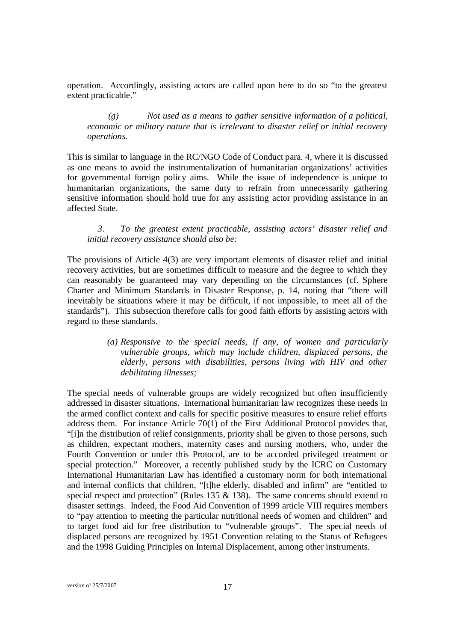operation. Accordingly, assisting actors are called upon here to do so "to the greatest extent practicable."

# *(g) Not used as a means to gather sensitive information of a political, economic or military nature that is irrelevant to disaster relief or initial recovery operations.*

This is similar to language in the RC/NGO Code of Conduct para. 4, where it is discussed as one means to avoid the instrumentalization of humanitarian organizations' activities for governmental foreign policy aims. While the issue of independence is unique to humanitarian organizations, the same duty to refrain from unnecessarily gathering sensitive information should hold true for any assisting actor providing assistance in an affected State.

### *3. To the greatest extent practicable, assisting actors' disaster relief and initial recovery assistance should also be:*

The provisions of Article 4(3) are very important elements of disaster relief and initial recovery activities, but are sometimes difficult to measure and the degree to which they can reasonably be guaranteed may vary depending on the circumstances (cf. Sphere Charter and Minimum Standards in Disaster Response, p. 14, noting that "there will inevitably be situations where it may be difficult, if not impossible, to meet all of the standards"). This subsection therefore calls for good faith efforts by assisting actors with regard to these standards.

# *(a) Responsive to the special needs, if any, of women and particularly vulnerable groups, which may include children, displaced persons, the elderly, persons with disabilities, persons living with HIV and other debilitating illnesses;*

The special needs of vulnerable groups are widely recognized but often insufficiently addressed in disaster situations. International humanitarian law recognizes these needs in the armed conflict context and calls for specific positive measures to ensure relief efforts address them. For instance Article 70(1) of the First Additional Protocol provides that, "[i]n the distribution of relief consignments, priority shall be given to those persons, such as children, expectant mothers, maternity cases and nursing mothers, who, under the Fourth Convention or under this Protocol, are to be accorded privileged treatment or special protection." Moreover, a recently published study by the ICRC on Customary International Humanitarian Law has identified a customary norm for both international and internal conflicts that children, "[t]he elderly, disabled and infirm" are "entitled to special respect and protection" (Rules 135 & 138). The same concerns should extend to disaster settings. Indeed, the Food Aid Convention of 1999 article VIII requires members to "pay attention to meeting the particular nutritional needs of women and children" and to target food aid for free distribution to "vulnerable groups". The special needs of displaced persons are recognized by 1951 Convention relating to the Status of Refugees and the 1998 Guiding Principles on Internal Displacement, among other instruments.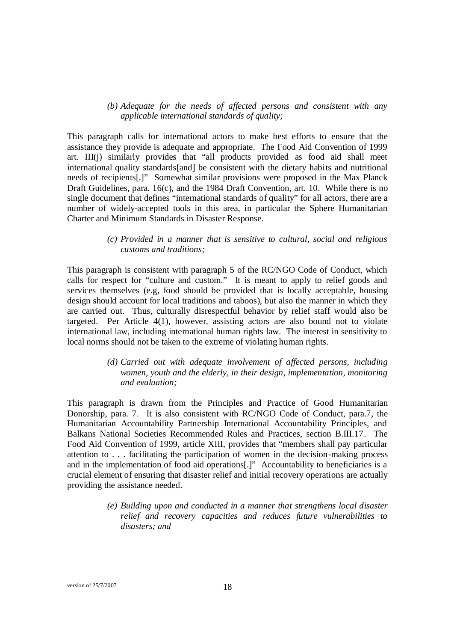*(b) Adequate for the needs of affected persons and consistent with any applicable international standards of quality;* 

This paragraph calls for international actors to make best efforts to ensure that the assistance they provide is adequate and appropriate. The Food Aid Convention of 1999 art. III(j) similarly provides that "all products provided as food aid shall meet international quality standards[and] be consistent with the dietary habits and nutritional needs of recipients[.]" Somewhat similar provisions were proposed in the Max Planck Draft Guidelines, para. 16(c), and the 1984 Draft Convention, art. 10. While there is no single document that defines "international standards of quality" for all actors, there are a number of widely-accepted tools in this area, in particular the Sphere Humanitarian Charter and Minimum Standards in Disaster Response.

> *(c) Provided in a manner that is sensitive to cultural, social and religious customs and traditions;*

This paragraph is consistent with paragraph 5 of the RC/NGO Code of Conduct, which calls for respect for "culture and custom." It is meant to apply to relief goods and services themselves (e.g, food should be provided that is locally acceptable, housing design should account for local traditions and taboos), but also the manner in which they are carried out. Thus, culturally disrespectful behavior by relief staff would also be targeted. Per Article 4(1), however, assisting actors are also bound not to violate international law, including international human rights law. The interest in sensitivity to local norms should not be taken to the extreme of violating human rights.

> *(d) Carried out with adequate involvement of affected persons, including women, youth and the elderly, in their design, implementation, monitoring and evaluation;*

This paragraph is drawn from the Principles and Practice of Good Humanitarian Donorship, para. 7. It is also consistent with RC/NGO Code of Conduct, para.7, the Humanitarian Accountability Partnership International Accountability Principles, and Balkans National Societies Recommended Rules and Practices, section B.III.17. The Food Aid Convention of 1999, article XIII, provides that "members shall pay particular attention to . . . facilitating the participation of women in the decision-making process and in the implementation of food aid operations[.]" Accountability to beneficiaries is a crucial element of ensuring that disaster relief and initial recovery operations are actually providing the assistance needed.

> *(e) Building upon and conducted in a manner that strengthens local disaster relief and recovery capacities and reduces future vulnerabilities to disasters; and*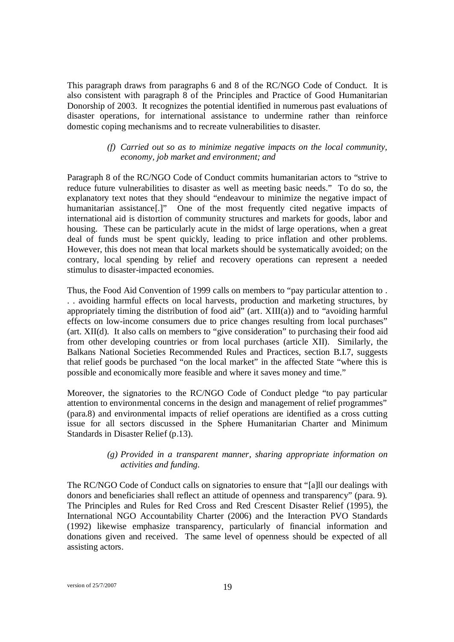This paragraph draws from paragraphs 6 and 8 of the RC/NGO Code of Conduct. It is also consistent with paragraph 8 of the Principles and Practice of Good Humanitarian Donorship of 2003. It recognizes the potential identified in numerous past evaluations of disaster operations, for international assistance to undermine rather than reinforce domestic coping mechanisms and to recreate vulnerabilities to disaster.

### *(f) Carried out so as to minimize negative impacts on the local community, economy, job market and environment; and*

Paragraph 8 of the RC/NGO Code of Conduct commits humanitarian actors to "strive to reduce future vulnerabilities to disaster as well as meeting basic needs." To do so, the explanatory text notes that they should "endeavour to minimize the negative impact of humanitarian assistance[.]" One of the most frequently cited negative impacts of international aid is distortion of community structures and markets for goods, labor and housing. These can be particularly acute in the midst of large operations, when a great deal of funds must be spent quickly, leading to price inflation and other problems. However, this does not mean that local markets should be systematically avoided; on the contrary, local spending by relief and recovery operations can represent a needed stimulus to disaster-impacted economies.

Thus, the Food Aid Convention of 1999 calls on members to "pay particular attention to . . . avoiding harmful effects on local harvests, production and marketing structures, by appropriately timing the distribution of food aid" (art. XIII(a)) and to "avoiding harmful effects on low-income consumers due to price changes resulting from local purchases" (art. XII(d). It also calls on members to "give consideration" to purchasing their food aid from other developing countries or from local purchases (article XII). Similarly, the Balkans National Societies Recommended Rules and Practices, section B.I.7, suggests that relief goods be purchased "on the local market" in the affected State "where this is possible and economically more feasible and where it saves money and time."

Moreover, the signatories to the RC/NGO Code of Conduct pledge "to pay particular attention to environmental concerns in the design and management of relief programmes" (para.8) and environmental impacts of relief operations are identified as a cross cutting issue for all sectors discussed in the Sphere Humanitarian Charter and Minimum Standards in Disaster Relief (p.13).

### *(g) Provided in a transparent manner, sharing appropriate information on activities and funding.*

The RC/NGO Code of Conduct calls on signatories to ensure that "[a]ll our dealings with donors and beneficiaries shall reflect an attitude of openness and transparency" (para. 9). The Principles and Rules for Red Cross and Red Crescent Disaster Relief (1995), the International NGO Accountability Charter (2006) and the Interaction PVO Standards (1992) likewise emphasize transparency, particularly of financial information and donations given and received. The same level of openness should be expected of all assisting actors.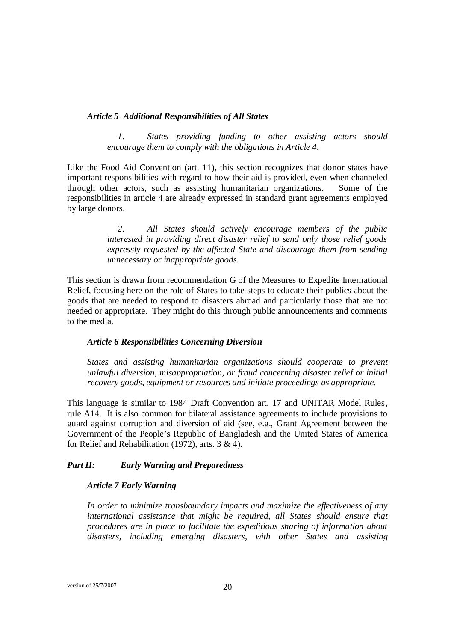#### *Article 5 Additional Responsibilities of All States*

*1. States providing funding to other assisting actors should encourage them to comply with the obligations in Article 4.*

Like the Food Aid Convention (art. 11), this section recognizes that donor states have important responsibilities with regard to how their aid is provided, even when channeled through other actors, such as assisting humanitarian organizations. Some of the responsibilities in article 4 are already expressed in standard grant agreements employed by large donors.

> *2. All States should actively encourage members of the public interested in providing direct disaster relief to send only those relief goods expressly requested by the affected State and discourage them from sending unnecessary or inappropriate goods.*

This section is drawn from recommendation G of the Measures to Expedite International Relief, focusing here on the role of States to take steps to educate their publics about the goods that are needed to respond to disasters abroad and particularly those that are not needed or appropriate. They might do this through public announcements and comments to the media.

#### *Article 6 Responsibilities Concerning Diversion*

*States and assisting humanitarian organizations should cooperate to prevent unlawful diversion, misappropriation, or fraud concerning disaster relief or initial recovery goods, equipment or resources and initiate proceedings as appropriate.*

This language is similar to 1984 Draft Convention art. 17 and UNITAR Model Rules, rule A14. It is also common for bilateral assistance agreements to include provisions to guard against corruption and diversion of aid (see, e.g., Grant Agreement between the Government of the People's Republic of Bangladesh and the United States of America for Relief and Rehabilitation (1972), arts. 3 & 4).

# *Part II: Early Warning and Preparedness*

# *Article 7 Early Warning*

*In order to minimize transboundary impacts and maximize the effectiveness of any international assistance that might be required, all States should ensure that procedures are in place to facilitate the expeditious sharing of information about disasters, including emerging disasters, with other States and assisting*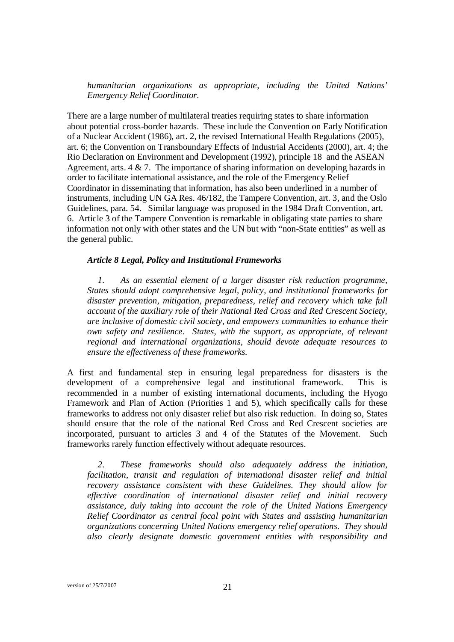*humanitarian organizations as appropriate, including the United Nations' Emergency Relief Coordinator.*

There are a large number of multilateral treaties requiring states to share information about potential cross-border hazards. These include the Convention on Early Notification of a Nuclear Accident (1986), art. 2, the revised International Health Regulations (2005), art. 6; the Convention on Transboundary Effects of Industrial Accidents (2000), art. 4; the Rio Declaration on Environment and Development (1992), principle 18 and the ASEAN Agreement, arts. 4 & 7. The importance of sharing information on developing hazards in order to facilitate international assistance, and the role of the Emergency Relief Coordinator in disseminating that information, has also been underlined in a number of instruments, including UN GA Res. 46/182, the Tampere Convention, art. 3, and the Oslo Guidelines, para. 54. Similar language was proposed in the 1984 Draft Convention, art. 6. Article 3 of the Tampere Convention is remarkable in obligating state parties to share information not only with other states and the UN but with "non-State entities" as well as the general public.

#### *Article 8 Legal, Policy and Institutional Frameworks*

*1. As an essential element of a larger disaster risk reduction programme, States should adopt comprehensive legal, policy, and institutional frameworks for disaster prevention, mitigation, preparedness, relief and recovery which take full account of the auxiliary role of their National Red Cross and Red Crescent Society, are inclusive of domestic civil society, and empowers communities to enhance their own safety and resilience. States, with the support, as appropriate, of relevant regional and international organizations, should devote adequate resources to ensure the effectiveness of these frameworks.*

A first and fundamental step in ensuring legal preparedness for disasters is the development of a comprehensive legal and institutional framework. This is recommended in a number of existing international documents, including the Hyogo Framework and Plan of Action (Priorities 1 and 5), which specifically calls for these frameworks to address not only disaster relief but also risk reduction. In doing so, States should ensure that the role of the national Red Cross and Red Crescent societies are incorporated, pursuant to articles 3 and 4 of the Statutes of the Movement. Such frameworks rarely function effectively without adequate resources.

*2. These frameworks should also adequately address the initiation, facilitation, transit and regulation of international disaster relief and initial recovery assistance consistent with these Guidelines. They should allow for effective coordination of international disaster relief and initial recovery assistance, duly taking into account the role of the United Nations Emergency Relief Coordinator as central focal point with States and assisting humanitarian organizations concerning United Nations emergency relief operations. They should also clearly designate domestic government entities with responsibility and*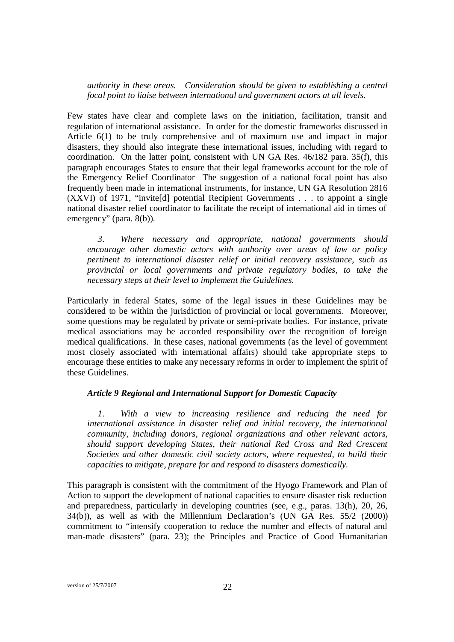*authority in these areas. Consideration should be given to establishing a central focal point to liaise between international and government actors at all levels.*

Few states have clear and complete laws on the initiation, facilitation, transit and regulation of international assistance. In order for the domestic frameworks discussed in Article 6(1) to be truly comprehensive and of maximum use and impact in major disasters, they should also integrate these international issues, including with regard to coordination. On the latter point, consistent with UN GA Res. 46/182 para. 35(f), this paragraph encourages States to ensure that their legal frameworks account for the role of the Emergency Relief Coordinator The suggestion of a national focal point has also frequently been made in international instruments, for instance, UN GA Resolution 2816 (XXVI) of 1971, "invite[d] potential Recipient Governments . . . to appoint a single national disaster relief coordinator to facilitate the receipt of international aid in times of emergency" (para. 8(b)).

*3. Where necessary and appropriate, national governments should encourage other domestic actors with authority over areas of law or policy pertinent to international disaster relief or initial recovery assistance, such as provincial or local governments and private regulatory bodies, to take the necessary steps at their level to implement the Guidelines.*

Particularly in federal States, some of the legal issues in these Guidelines may be considered to be within the jurisdiction of provincial or local governments. Moreover, some questions may be regulated by private or semi-private bodies. For instance, private medical associations may be accorded responsibility over the recognition of foreign medical qualifications. In these cases, national governments (as the level of government most closely associated with international affairs) should take appropriate steps to encourage these entities to make any necessary reforms in order to implement the spirit of these Guidelines.

#### *Article 9 Regional and International Support for Domestic Capacity*

*1. With a view to increasing resilience and reducing the need for international assistance in disaster relief and initial recovery, the international community, including donors, regional organizations and other relevant actors, should support developing States, their national Red Cross and Red Crescent Societies and other domestic civil society actors, where requested, to build their capacities to mitigate, prepare for and respond to disasters domestically.* 

This paragraph is consistent with the commitment of the Hyogo Framework and Plan of Action to support the development of national capacities to ensure disaster risk reduction and preparedness, particularly in developing countries (see, e.g., paras. 13(h), 20, 26, 34(b)), as well as with the Millennium Declaration's (UN GA Res. 55/2 (2000)) commitment to "intensify cooperation to reduce the number and effects of natural and man-made disasters" (para. 23); the Principles and Practice of Good Humanitarian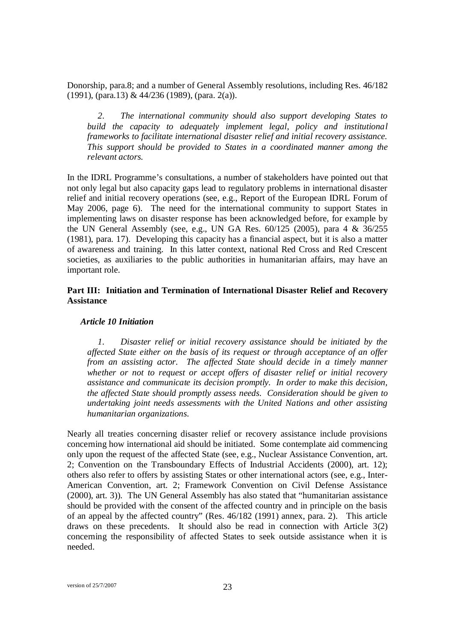Donorship, para.8; and a number of General Assembly resolutions, including Res. 46/182 (1991), (para.13) & 44/236 (1989), (para. 2(a)).

*2. The international community should also support developing States to build the capacity to adequately implement legal, policy and institutional frameworks to facilitate international disaster relief and initial recovery assistance. This support should be provided to States in a coordinated manner among the relevant actors.*

In the IDRL Programme's consultations, a number of stakeholders have pointed out that not only legal but also capacity gaps lead to regulatory problems in international disaster relief and initial recovery operations (see, e.g., Report of the European IDRL Forum of May 2006, page 6). The need for the international community to support States in implementing laws on disaster response has been acknowledged before, for example by the UN General Assembly (see, e.g., UN GA Res. 60/125 (2005), para 4 & 36/255 (1981), para. 17). Developing this capacity has a financial aspect, but it is also a matter of awareness and training. In this latter context, national Red Cross and Red Crescent societies, as auxiliaries to the public authorities in humanitarian affairs, may have an important role.

## **Part III: Initiation and Termination of International Disaster Relief and Recovery Assistance**

#### *Article 10 Initiation*

*1. Disaster relief or initial recovery assistance should be initiated by the affected State either on the basis of its request or through acceptance of an offer from an assisting actor. The affected State should decide in a timely manner whether or not to request or accept offers of disaster relief or initial recovery assistance and communicate its decision promptly. In order to make this decision, the affected State should promptly assess needs. Consideration should be given to undertaking joint needs assessments with the United Nations and other assisting humanitarian organizations.*

Nearly all treaties concerning disaster relief or recovery assistance include provisions concerning how international aid should be initiated. Some contemplate aid commencing only upon the request of the affected State (see, e.g., Nuclear Assistance Convention, art. 2; Convention on the Transboundary Effects of Industrial Accidents (2000), art. 12); others also refer to offers by assisting States or other international actors (see, e.g., Inter-American Convention, art. 2; Framework Convention on Civil Defense Assistance (2000), art. 3)). The UN General Assembly has also stated that "humanitarian assistance should be provided with the consent of the affected country and in principle on the basis of an appeal by the affected country" (Res. 46/182 (1991) annex, para. 2). This article draws on these precedents. It should also be read in connection with Article 3(2) concerning the responsibility of affected States to seek outside assistance when it is needed.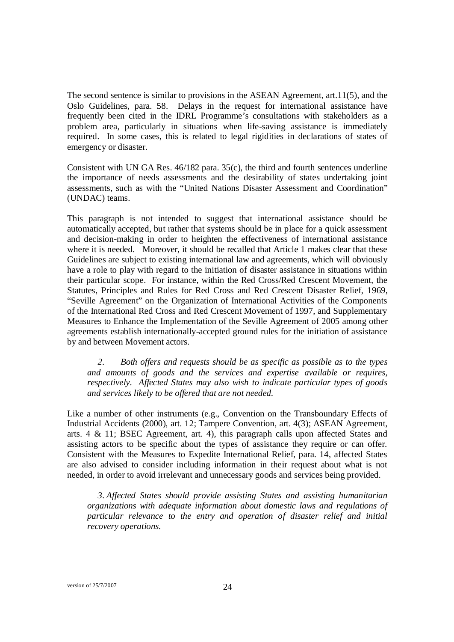The second sentence is similar to provisions in the ASEAN Agreement, art.11(5), and the Oslo Guidelines, para. 58. Delays in the request for international assistance have frequently been cited in the IDRL Programme's consultations with stakeholders as a problem area, particularly in situations when life-saving assistance is immediately required. In some cases, this is related to legal rigidities in declarations of states of emergency or disaster.

Consistent with UN GA Res. 46/182 para. 35(c), the third and fourth sentences underline the importance of needs assessments and the desirability of states undertaking joint assessments, such as with the "United Nations Disaster Assessment and Coordination" (UNDAC) teams.

This paragraph is not intended to suggest that international assistance should be automatically accepted, but rather that systems should be in place for a quick assessment and decision-making in order to heighten the effectiveness of international assistance where it is needed. Moreover, it should be recalled that Article 1 makes clear that these Guidelines are subject to existing international law and agreements, which will obviously have a role to play with regard to the initiation of disaster assistance in situations within their particular scope. For instance, within the Red Cross/Red Crescent Movement, the Statutes, Principles and Rules for Red Cross and Red Crescent Disaster Relief, 1969, "Seville Agreement" on the Organization of International Activities of the Components of the International Red Cross and Red Crescent Movement of 1997, and Supplementary Measures to Enhance the Implementation of the Seville Agreement of 2005 among other agreements establish internationally-accepted ground rules for the initiation of assistance by and between Movement actors.

*2. Both offers and requests should be as specific as possible as to the types and amounts of goods and the services and expertise available or requires, respectively. Affected States may also wish to indicate particular types of goods and services likely to be offered that are not needed.* 

Like a number of other instruments (e.g., Convention on the Transboundary Effects of Industrial Accidents (2000), art. 12; Tampere Convention, art. 4(3); ASEAN Agreement, arts. 4 & 11; BSEC Agreement, art. 4), this paragraph calls upon affected States and assisting actors to be specific about the types of assistance they require or can offer. Consistent with the Measures to Expedite International Relief, para. 14, affected States are also advised to consider including information in their request about what is not needed, in order to avoid irrelevant and unnecessary goods and services being provided.

*3. Affected States should provide assisting States and assisting humanitarian organizations with adequate information about domestic laws and regulations of particular relevance to the entry and operation of disaster relief and initial recovery operations.*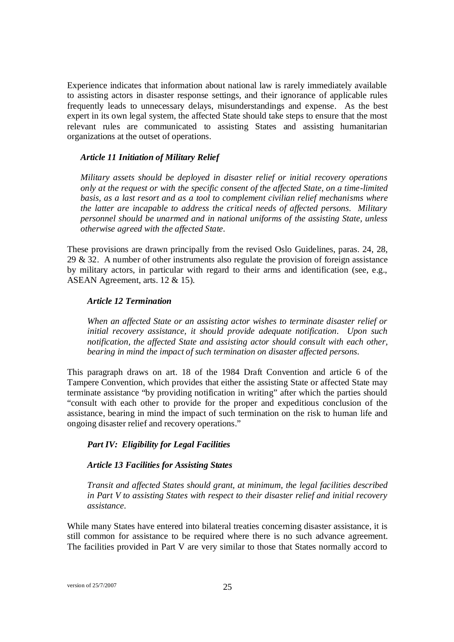Experience indicates that information about national law is rarely immediately available to assisting actors in disaster response settings, and their ignorance of applicable rules frequently leads to unnecessary delays, misunderstandings and expense. As the best expert in its own legal system, the affected State should take steps to ensure that the most relevant rules are communicated to assisting States and assisting humanitarian organizations at the outset of operations.

#### *Article 11 Initiation of Military Relief*

*Military assets should be deployed in disaster relief or initial recovery operations only at the request or with the specific consent of the affected State, on a time-limited basis, as a last resort and as a tool to complement civilian relief mechanisms where the latter are incapable to address the critical needs of affected persons. Military personnel should be unarmed and in national uniforms of the assisting State, unless otherwise agreed with the affected State.*

These provisions are drawn principally from the revised Oslo Guidelines, paras. 24, 28, 29 & 32. A number of other instruments also regulate the provision of foreign assistance by military actors, in particular with regard to their arms and identification (see, e.g., ASEAN Agreement, arts. 12 & 15).

#### *Article 12 Termination*

*When an affected State or an assisting actor wishes to terminate disaster relief or initial recovery assistance, it should provide adequate notification. Upon such notification, the affected State and assisting actor should consult with each other, bearing in mind the impact of such termination on disaster affected persons.* 

This paragraph draws on art. 18 of the 1984 Draft Convention and article 6 of the Tampere Convention, which provides that either the assisting State or affected State may terminate assistance "by providing notification in writing" after which the parties should "consult with each other to provide for the proper and expeditious conclusion of the assistance, bearing in mind the impact of such termination on the risk to human life and ongoing disaster relief and recovery operations."

## *Part IV: Eligibility for Legal Facilities*

#### *Article 13 Facilities for Assisting States*

*Transit and affected States should grant, at minimum, the legal facilities described in Part V to assisting States with respect to their disaster relief and initial recovery assistance.* 

While many States have entered into bilateral treaties concerning disaster assistance, it is still common for assistance to be required where there is no such advance agreement. The facilities provided in Part V are very similar to those that States normally accord to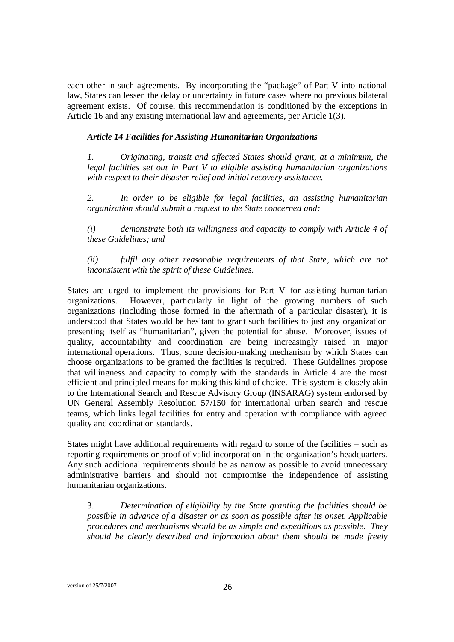each other in such agreements. By incorporating the "package" of Part V into national law, States can lessen the delay or uncertainty in future cases where no previous bilateral agreement exists. Of course, this recommendation is conditioned by the exceptions in Article 16 and any existing international law and agreements, per Article 1(3).

#### *Article 14 Facilities for Assisting Humanitarian Organizations*

*1. Originating, transit and affected States should grant, at a minimum, the legal facilities set out in Part V to eligible assisting humanitarian organizations with respect to their disaster relief and initial recovery assistance.*

*2. In order to be eligible for legal facilities, an assisting humanitarian organization should submit a request to the State concerned and:*

*(i) demonstrate both its willingness and capacity to comply with Article 4 of these Guidelines; and*

*(ii) fulfil any other reasonable requirements of that State, which are not inconsistent with the spirit of these Guidelines.* 

States are urged to implement the provisions for Part V for assisting humanitarian organizations. However, particularly in light of the growing numbers of such organizations (including those formed in the aftermath of a particular disaster), it is understood that States would be hesitant to grant such facilities to just any organization presenting itself as "humanitarian", given the potential for abuse. Moreover, issues of quality, accountability and coordination are being increasingly raised in major international operations. Thus, some decision-making mechanism by which States can choose organizations to be granted the facilities is required. These Guidelines propose that willingness and capacity to comply with the standards in Article 4 are the most efficient and principled means for making this kind of choice. This system is closely akin to the International Search and Rescue Advisory Group (INSARAG) system endorsed by UN General Assembly Resolution 57/150 for international urban search and rescue teams, which links legal facilities for entry and operation with compliance with agreed quality and coordination standards.

States might have additional requirements with regard to some of the facilities – such as reporting requirements or proof of valid incorporation in the organization's headquarters. Any such additional requirements should be as narrow as possible to avoid unnecessary administrative barriers and should not compromise the independence of assisting humanitarian organizations.

3. *Determination of eligibility by the State granting the facilities should be possible in advance of a disaster or as soon as possible after its onset. Applicable procedures and mechanisms should be as simple and expeditious as possible. They should be clearly described and information about them should be made freely*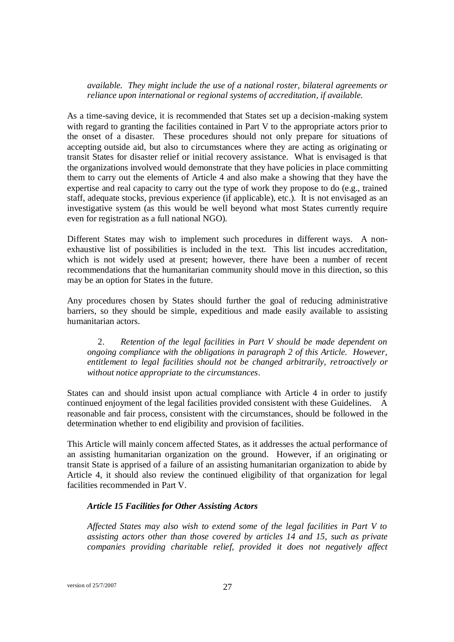*available. They might include the use of a national roster, bilateral agreements or reliance upon international or regional systems of accreditation, if available.*

As a time-saving device, it is recommended that States set up a decision-making system with regard to granting the facilities contained in Part V to the appropriate actors prior to the onset of a disaster. These procedures should not only prepare for situations of accepting outside aid, but also to circumstances where they are acting as originating or transit States for disaster relief or initial recovery assistance. What is envisaged is that the organizations involved would demonstrate that they have policies in place committing them to carry out the elements of Article 4 and also make a showing that they have the expertise and real capacity to carry out the type of work they propose to do (e.g., trained staff, adequate stocks, previous experience (if applicable), etc.). It is not envisaged as an investigative system (as this would be well beyond what most States currently require even for registration as a full national NGO).

Different States may wish to implement such procedures in different ways. A nonexhaustive list of possibilities is included in the text. This list incudes accreditation, which is not widely used at present; however, there have been a number of recent recommendations that the humanitarian community should move in this direction, so this may be an option for States in the future.

Any procedures chosen by States should further the goal of reducing administrative barriers, so they should be simple, expeditious and made easily available to assisting humanitarian actors.

2. *Retention of the legal facilities in Part V should be made dependent on ongoing compliance with the obligations in paragraph 2 of this Article. However, entitlement to legal facilities should not be changed arbitrarily, retroactively or without notice appropriate to the circumstances*.

States can and should insist upon actual compliance with Article 4 in order to justify continued enjoyment of the legal facilities provided consistent with these Guidelines. A reasonable and fair process, consistent with the circumstances, should be followed in the determination whether to end eligibility and provision of facilities.

This Article will mainly concern affected States, as it addresses the actual performance of an assisting humanitarian organization on the ground. However, if an originating or transit State is apprised of a failure of an assisting humanitarian organization to abide by Article 4, it should also review the continued eligibility of that organization for legal facilities recommended in Part V.

#### *Article 15 Facilities for Other Assisting Actors*

*Affected States may also wish to extend some of the legal facilities in Part V to assisting actors other than those covered by articles 14 and 15, such as private companies providing charitable relief, provided it does not negatively affect*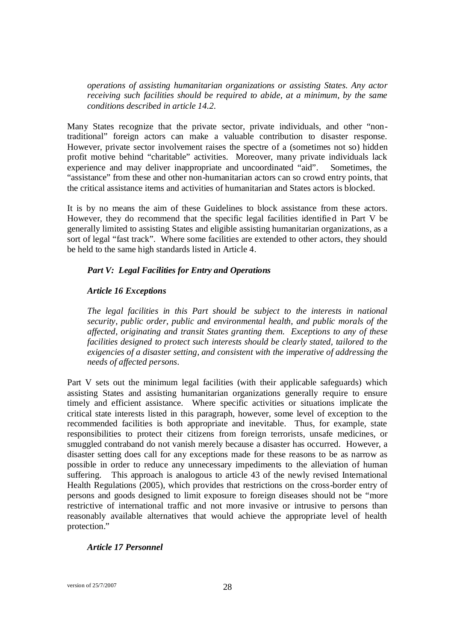*operations of assisting humanitarian organizations or assisting States. Any actor receiving such facilities should be required to abide, at a minimum, by the same conditions described in article 14.2.* 

Many States recognize that the private sector, private individuals, and other "nontraditional" foreign actors can make a valuable contribution to disaster response. However, private sector involvement raises the spectre of a (sometimes not so) hidden profit motive behind "charitable" activities. Moreover, many private individuals lack experience and may deliver inappropriate and uncoordinated "aid". Sometimes, the "assistance" from these and other non-humanitarian actors can so crowd entry points, that the critical assistance items and activities of humanitarian and States actors is blocked.

It is by no means the aim of these Guidelines to block assistance from these actors. However, they do recommend that the specific legal facilities identified in Part V be generally limited to assisting States and eligible assisting humanitarian organizations, as a sort of legal "fast track". Where some facilities are extended to other actors, they should be held to the same high standards listed in Article 4.

#### *Part V: Legal Facilities for Entry and Operations*

### *Article 16 Exceptions*

*The legal facilities in this Part should be subject to the interests in national security, public order, public and environmental health, and public morals of the affected, originating and transit States granting them. Exceptions to any of these facilities designed to protect such interests should be clearly stated, tailored to the exigencies of a disaster setting, and consistent with the imperative of addressing the needs of af ected persons.* 

Part V sets out the minimum legal facilities (with their applicable safeguards) which assisting States and assisting humanitarian organizations generally require to ensure timely and efficient assistance. Where specific activities or situations implicate the critical state interests listed in this paragraph, however, some level of exception to the recommended facilities is both appropriate and inevitable. Thus, for example, state responsibilities to protect their citizens from foreign terrorists, unsafe medicines, or smuggled contraband do not vanish merely because a disaster has occurred. However, a disaster setting does call for any exceptions made for these reasons to be as narrow as possible in order to reduce any unnecessary impediments to the alleviation of human suffering. This approach is analogous to article 43 of the newly revised International Health Regulations (2005), which provides that restrictions on the cross-border entry of persons and goods designed to limit exposure to foreign diseases should not be "more restrictive of international traffic and not more invasive or intrusive to persons than reasonably available alternatives that would achieve the appropriate level of health protection."

#### *Article 17 Personnel*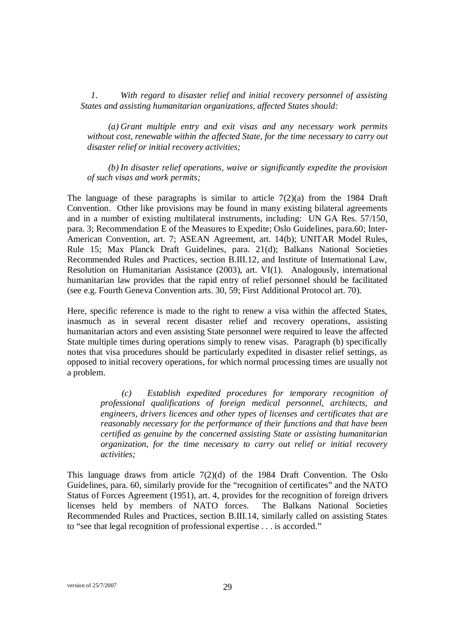*1. With regard to disaster relief and initial recovery personnel of assisting States and assisting humanitarian organizations, affected States should:*

*(a) Grant multiple entry and exit visas and any necessary work permits without cost, renewable within the affected State, for the time necessary to carry out disaster relief or initial recovery activities;*

*(b) In disaster relief operations, waive or significantly expedite the provision of such visas and work permits;*

The language of these paragraphs is similar to article  $7(2)(a)$  from the 1984 Draft Convention. Other like provisions may be found in many existing bilateral agreements and in a number of existing multilateral instruments, including: UN GA Res. 57/150, para. 3; Recommendation E of the Measures to Expedite; Oslo Guidelines, para.60; Inter-American Convention, art. 7; ASEAN Agreement, art. 14(b); UNITAR Model Rules, Rule 15; Max Planck Draft Guidelines, para. 21(d); Balkans National Societies Recommended Rules and Practices, section B.III.12, and Institute of International Law, Resolution on Humanitarian Assistance (2003), art. VI(1). Analogously, international humanitarian law provides that the rapid entry of relief personnel should be facilitated (see e.g. Fourth Geneva Convention arts. 30, 59; First Additional Protocol art. 70).

Here, specific reference is made to the right to renew a visa within the affected States, inasmuch as in several recent disaster relief and recovery operations, assisting humanitarian actors and even assisting State personnel were required to leave the affected State multiple times during operations simply to renew visas. Paragraph (b) specifically notes that visa procedures should be particularly expedited in disaster relief settings, as opposed to initial recovery operations, for which normal processing times are usually not a problem.

> *(c) Establish expedited procedures for temporary recognition of professional qualifications of foreign medical personnel, architects, and engineers, drivers licences and other types of licenses and certificates that are reasonably necessary for the performance of their functions and that have been certified as genuine by the concerned assisting State or assisting humanitarian organization, for the time necessary to carry out relief or initial recovery activities;*

This language draws from article  $7(2)(d)$  of the 1984 Draft Convention. The Oslo Guidelines, para. 60, similarly provide for the "recognition of certificates" and the NATO Status of Forces Agreement (1951), art. 4, provides for the recognition of foreign drivers licenses held by members of NATO forces. The Balkans National Societies Recommended Rules and Practices, section B.III.14, similarly called on assisting States to "see that legal recognition of professional expertise . . . is accorded."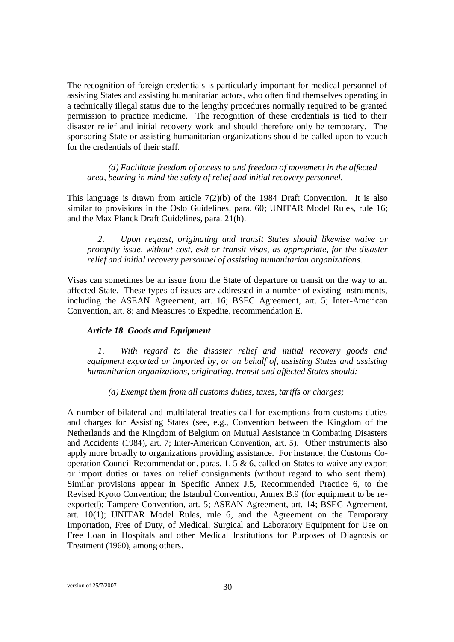The recognition of foreign credentials is particularly important for medical personnel of assisting States and assisting humanitarian actors, who often find themselves operating in a technically illegal status due to the lengthy procedures normally required to be granted permission to practice medicine. The recognition of these credentials is tied to their disaster relief and initial recovery work and should therefore only be temporary. The sponsoring State or assisting humanitarian organizations should be called upon to vouch for the credentials of their staff.

*(d) Facilitate freedom of access to and freedom of movement in the affected area, bearing in mind the safety of relief and initial recovery personnel.*

This language is drawn from article  $7(2)(b)$  of the 1984 Draft Convention. It is also similar to provisions in the Oslo Guidelines, para. 60; UNITAR Model Rules, rule 16; and the Max Planck Draft Guidelines, para. 21(h).

*2. Upon request, originating and transit States should likewise waive or promptly issue, without cost, exit or transit visas, as appropriate, for the disaster relief and initial recovery personnel of assisting humanitarian organizations.*

Visas can sometimes be an issue from the State of departure or transit on the way to an affected State. These types of issues are addressed in a number of existing instruments, including the ASEAN Agreement, art. 16; BSEC Agreement, art. 5; Inter-American Convention, art. 8; and Measures to Expedite, recommendation E.

#### *Article 18 Goods and Equipment*

*1. With regard to the disaster relief and initial recovery goods and equipment exported or imported by, or on behalf of, assisting States and assisting humanitarian organizations, originating, transit and affected States should:*

*(a) Exempt them from all customs duties, taxes, tariffs or charges;*

A number of bilateral and multilateral treaties call for exemptions from customs duties and charges for Assisting States (see, e.g., Convention between the Kingdom of the Netherlands and the Kingdom of Belgium on Mutual Assistance in Combating Disasters and Accidents (1984), art. 7; Inter-American Convention, art. 5). Other instruments also apply more broadly to organizations providing assistance. For instance, the Customs Cooperation Council Recommendation, paras. 1, 5 & 6, called on States to waive any export or import duties or taxes on relief consignments (without regard to who sent them). Similar provisions appear in Specific Annex J.5, Recommended Practice 6, to the Revised Kyoto Convention; the Istanbul Convention, Annex B.9 (for equipment to be reexported); Tampere Convention, art. 5; ASEAN Agreement, art. 14; BSEC Agreement, art. 10(1); UNITAR Model Rules, rule 6, and the Agreement on the Temporary Importation, Free of Duty, of Medical, Surgical and Laboratory Equipment for Use on Free Loan in Hospitals and other Medical Institutions for Purposes of Diagnosis or Treatment (1960), among others.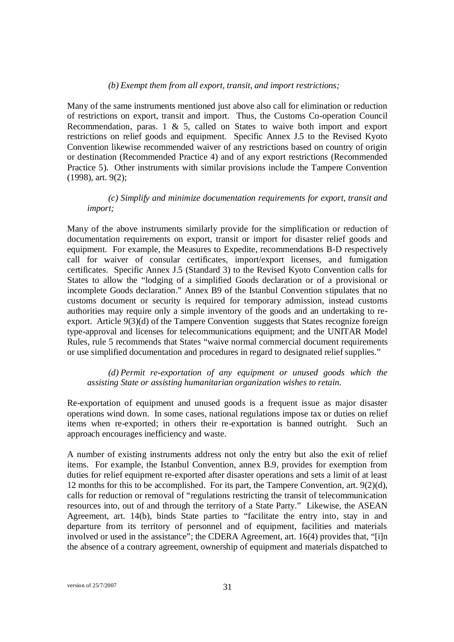#### *(b) Exempt them from all export, transit, and import restrictions;*

Many of the same instruments mentioned just above also call for elimination or reduction of restrictions on export, transit and import. Thus, the Customs Co-operation Council Recommendation, paras. 1  $\&$  5, called on States to waive both import and export restrictions on relief goods and equipment. Specific Annex J.5 to the Revised Kyoto Convention likewise recommended waiver of any restrictions based on country of origin or destination (Recommended Practice 4) and of any export restrictions (Recommended Practice 5). Other instruments with similar provisions include the Tampere Convention (1998), art. 9(2);

## *(c) Simplify and minimize documentation requirements for export, transit and import;*

Many of the above instruments similarly provide for the simplification or reduction of documentation requirements on export, transit or import for disaster relief goods and equipment. For example, the Measures to Expedite, recommendations B-D respectively call for waiver of consular certificates, import/export licenses, and fumigation certificates. Specific Annex J.5 (Standard 3) to the Revised Kyoto Convention calls for States to allow the "lodging of a simplified Goods declaration or of a provisional or incomplete Goods declaration." Annex B9 of the Istanbul Convention stipulates that no customs document or security is required for temporary admission, instead customs authorities may require only a simple inventory of the goods and an undertaking to reexport. Article 9(3)(d) of the Tampere Convention suggests that States recognize foreign type-approval and licenses for telecommunications equipment; and the UNITAR Model Rules, rule 5 recommends that States "waive normal commercial document requirements or use simplified documentation and procedures in regard to designated relief supplies."

*(d) Permit re-exportation of any equipment or unused goods which the assisting State or assisting humanitarian organization wishes to retain.*

Re-exportation of equipment and unused goods is a frequent issue as major disaster operations wind down. In some cases, national regulations impose tax or duties on relief items when re-exported; in others their re-exportation is banned outright. Such an approach encourages inefficiency and waste.

A number of existing instruments address not only the entry but also the exit of relief items. For example, the Istanbul Convention, annex B.9, provides for exemption from duties for relief equipment re-exported after disaster operations and sets a limit of at least 12 months for this to be accomplished. For its part, the Tampere Convention, art. 9(2)(d), calls for reduction or removal of "regulations restricting the transit of telecommunication resources into, out of and through the territory of a State Party." Likewise, the ASEAN Agreement, art. 14(b), binds State parties to "facilitate the entry into, stay in and departure from its territory of personnel and of equipment, facilities and materials involved or used in the assistance"; the CDERA Agreement, art. 16(4) provides that, "[i]n the absence of a contrary agreement, ownership of equipment and materials dispatched to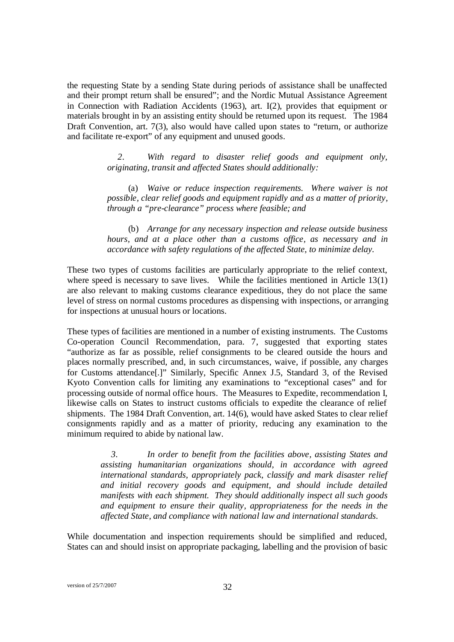the requesting State by a sending State during periods of assistance shall be unaffected and their prompt return shall be ensured"; and the Nordic Mutual Assistance Agreement in Connection with Radiation Accidents (1963), art. I(2), provides that equipment or materials brought in by an assisting entity should be returned upon its request. The 1984 Draft Convention, art. 7(3), also would have called upon states to "return, or authorize and facilitate re-export" of any equipment and unused goods.

> *2. With regard to disaster relief goods and equipment only, originating, transit and affected States should additionally:*

> (a) *Waive or reduce inspection requirements. Where waiver is not possible, clear relief goods and equipment rapidly and as a matter of priority, through a "pre-clearance" process where feasible; and*

> (b) *Arrange for any necessary inspection and release outside business hours, and at a place other than a customs office, as necessa*ry *and in accordance with safety regulations of the affected State, to minimize delay.*

These two types of customs facilities are particularly appropriate to the relief context, where speed is necessary to save lives. While the facilities mentioned in Article 13(1) are also relevant to making customs clearance expeditious, they do not place the same level of stress on normal customs procedures as dispensing with inspections, or arranging for inspections at unusual hours or locations.

These types of facilities are mentioned in a number of existing instruments. The Customs Co-operation Council Recommendation, para. 7, suggested that exporting states "authorize as far as possible, relief consignments to be cleared outside the hours and places normally prescribed, and, in such circumstances, waive, if possible, any charges for Customs attendance[.]" Similarly, Specific Annex J.5, Standard 3, of the Revised Kyoto Convention calls for limiting any examinations to "exceptional cases" and for processing outside of normal office hours. The Measures to Expedite, recommendation I, likewise calls on States to instruct customs officials to expedite the clearance of relief shipments. The 1984 Draft Convention, art. 14(6), would have asked States to clear relief consignments rapidly and as a matter of priority, reducing any examination to the minimum required to abide by national law.

> *3. In order to benefit from the facilities above, assisting States and assisting humanitarian organizations should, in accordance with agreed international standards, appropriately pack, classify and mark disaster relief and initial recovery goods and equipment, and should include detailed manifests with each shipment. They should additionally inspect all such goods and equipment to ensure their quality, appropriateness for the needs in the affected State, and compliance with national law and international standards.*

While documentation and inspection requirements should be simplified and reduced, States can and should insist on appropriate packaging, labelling and the provision of basic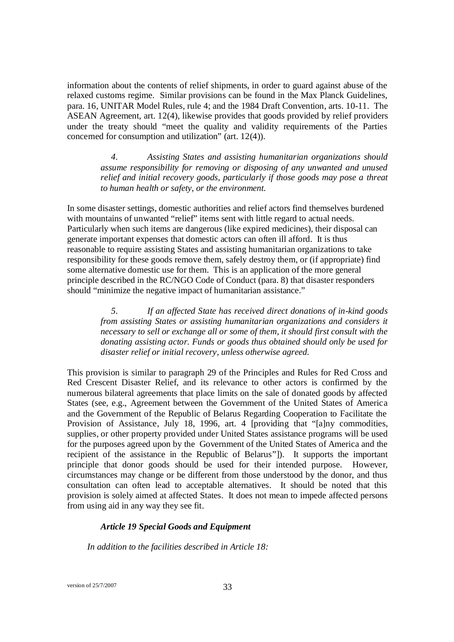information about the contents of relief shipments, in order to guard against abuse of the relaxed customs regime. Similar provisions can be found in the Max Planck Guidelines, para. 16, UNITAR Model Rules, rule 4; and the 1984 Draft Convention, arts. 10-11. The ASEAN Agreement, art. 12(4), likewise provides that goods provided by relief providers under the treaty should "meet the quality and validity requirements of the Parties concerned for consumption and utilization" (art. 12(4)).

> *4. Assisting States and assisting humanitarian organizations should assume responsibility for removing or disposing of any unwanted and unused relief and initial recovery goods, particularly if those goods may pose a threat to human health or safety, or the environment.*

In some disaster settings, domestic authorities and relief actors find themselves burdened with mountains of unwanted "relief" items sent with little regard to actual needs. Particularly when such items are dangerous (like expired medicines), their disposal can generate important expenses that domestic actors can often ill afford. It is thus reasonable to require assisting States and assisting humanitarian organizations to take responsibility for these goods remove them, safely destroy them, or (if appropriate) find some alternative domestic use for them. This is an application of the more general principle described in the RC/NGO Code of Conduct (para. 8) that disaster responders should "minimize the negative impact of humanitarian assistance."

> *5. If an affected State has received direct donations of in-kind goods from assisting States or assisting humanitarian organizations and considers it necessary to sell or exchange all or some of them, it should first consult with the donating assisting actor. Funds or goods thus obtained should only be used for disaster relief or initial recovery, unless otherwise agreed.*

This provision is similar to paragraph 29 of the Principles and Rules for Red Cross and Red Crescent Disaster Relief, and its relevance to other actors is confirmed by the numerous bilateral agreements that place limits on the sale of donated goods by affected States (see, e.g., Agreement between the Government of the United States of America and the Government of the Republic of Belarus Regarding Cooperation to Facilitate the Provision of Assistance, July 18, 1996, art. 4 [providing that "[a]ny commodities, supplies, or other property provided under United States assistance programs will be used for the purposes agreed upon by the Government of the United States of America and the recipient of the assistance in the Republic of Belarus"]). It supports the important principle that donor goods should be used for their intended purpose. However, circumstances may change or be different from those understood by the donor, and thus consultation can often lead to acceptable alternatives. It should be noted that this provision is solely aimed at affected States. It does not mean to impede affected persons from using aid in any way they see fit.

# *Article 19 Special Goods and Equipment*

*In addition to the facilities described in Article 18:*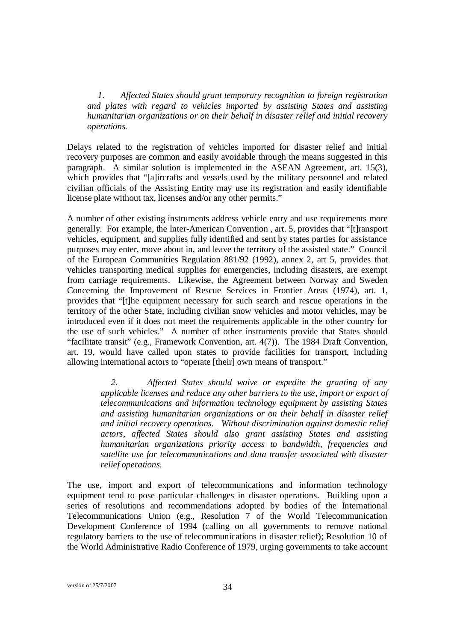*1. Affected States should grant temporary recognition to foreign registration and plates with regard to vehicles imported by assisting States and assisting humanitarian organizations or on their behalf in disaster relief and initial recovery operations.* 

Delays related to the registration of vehicles imported for disaster relief and initial recovery purposes are common and easily avoidable through the means suggested in this paragraph. A similar solution is implemented in the ASEAN Agreement, art. 15(3), which provides that "[a]ircrafts and vessels used by the military personnel and related civilian officials of the Assisting Entity may use its registration and easily identifiable license plate without tax, licenses and/or any other permits."

A number of other existing instruments address vehicle entry and use requirements more generally. For example, the Inter-American Convention , art. 5, provides that "[t]ransport vehicles, equipment, and supplies fully identified and sent by states parties for assistance purposes may enter, move about in, and leave the territory of the assisted state." Council of the European Communities Regulation 881/92 (1992), annex 2, art 5, provides that vehicles transporting medical supplies for emergencies, including disasters, are exempt from carriage requirements. Likewise, the Agreement between Norway and Sweden Concerning the Improvement of Rescue Services in Frontier Areas (1974), art. 1, provides that "[t]he equipment necessary for such search and rescue operations in the territory of the other State, including civilian snow vehicles and motor vehicles, may be introduced even if it does not meet the requirements applicable in the other country for the use of such vehicles." A number of other instruments provide that States should "facilitate transit" (e.g., Framework Convention, art. 4(7)). The 1984 Draft Convention, art. 19, would have called upon states to provide facilities for transport, including allowing international actors to "operate [their] own means of transport."

> *2. Affected States should waive or expedite the granting of any applicable licenses and reduce any other barriers to the use, import or export of telecommunications and information technology equipment by assisting States and assisting humanitarian organizations or on their behalf in disaster relief and initial recovery operations. Without discrimination against domestic relief actors, affected States should also grant assisting States and assisting humanitarian organizations priority access to bandwidth, frequencies and satellite use for telecommunications and data transfer associated with disaster relief operations.*

The use, import and export of telecommunications and information technology equipment tend to pose particular challenges in disaster operations. Building upon a series of resolutions and recommendations adopted by bodies of the International Telecommunications Union (e.g., Resolution 7 of the World Telecommunication Development Conference of 1994 (calling on all governments to remove national regulatory barriers to the use of telecommunications in disaster relief); Resolution 10 of the World Administrative Radio Conference of 1979, urging governments to take account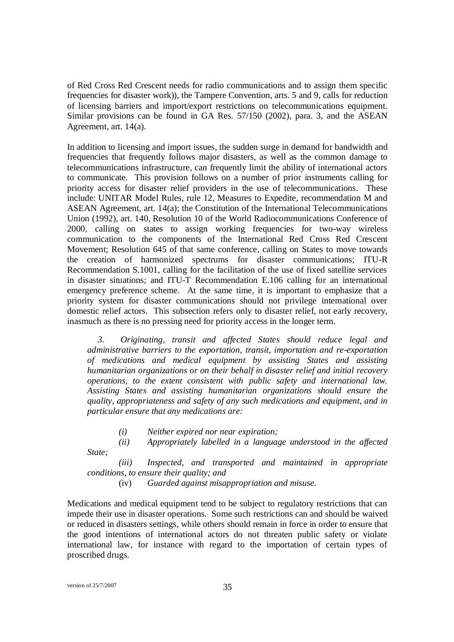of Red Cross Red Crescent needs for radio communications and to assign them specific frequencies for disaster work)), the Tampere Convention, arts. 5 and 9, calls for reduction of licensing barriers and import/export restrictions on telecommunications equipment. Similar provisions can be found in GA Res. 57/150 (2002), para. 3, and the ASEAN Agreement, art. 14(a).

In addition to licensing and import issues, the sudden surge in demand for bandwidth and frequencies that frequently follows major disasters, as well as the common damage to telecommunications infrastructure, can frequently limit the ability of international actors to communicate. This provision follows on a number of prior instruments calling for priority access for disaster relief providers in the use of telecommunications. These include: UNITAR Model Rules, rule 12, Measures to Expedite, recommendation M and ASEAN Agreement, art. 14(a); the Constitution of the International Telecommunications Union (1992), art. 140, Resolution 10 of the World Radiocommunications Conference of 2000, calling on states to assign working frequencies for two-way wireless communication to the components of the International Red Cross Red Crescent Movement; Resolution 645 of that same conference, calling on States to move towards the creation of harmonized spectrums for disaster communications; ITU-R Recommendation S.1001, calling for the facilitation of the use of fixed satellite services in disaster situations; and ITU-T Recommendation E.106 calling for an international emergency preference scheme. At the same time, it is important to emphasize that a priority system for disaster communications should not privilege international over domestic relief actors. This subsection refers only to disaster relief, not early recovery, inasmuch as there is no pressing need for priority access in the longer term.

*3. Originating, transit and affected States should reduce legal and administrative barriers to the exportation, transit, importation and re-exportation of medications and medical equipment by assisting States and assisting humanitarian organizations or on their behalf in disaster relief and initial recovery operations, to the extent consistent with public safety and international law. Assisting States and assisting humanitarian organizations should ensure the quality, appropriateness and safety of any such medications and equipment, and in particular ensure that any medications are:*

- *(i) Neither expired nor near expiration;*
- *(ii) Appropriately labelled in a language understood in the af ected State;*

*(iii) Inspected, and transported and maintained in appropriate conditions, to ensure their quality; and*

(iv) *Guarded against misappropriation and misuse*.

Medications and medical equipment tend to be subject to regulatory restrictions that can impede their use in disaster operations. Some such restrictions can and should be waived or reduced in disasters settings, while others should remain in force in order to ensure that the good intentions of international actors do not threaten public safety or violate international law, for instance with regard to the importation of certain types of proscribed drugs.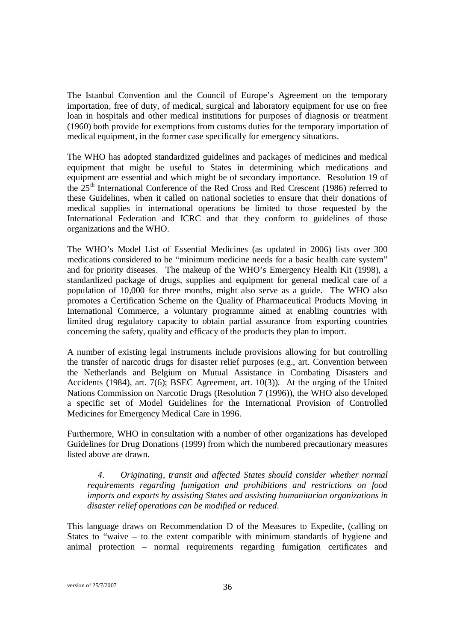The Istanbul Convention and the Council of Europe's Agreement on the temporary importation, free of duty, of medical, surgical and laboratory equipment for use on free loan in hospitals and other medical institutions for purposes of diagnosis or treatment (1960) both provide for exemptions from customs duties for the temporary importation of medical equipment, in the former case specifically for emergency situations.

The WHO has adopted standardized guidelines and packages of medicines and medical equipment that might be useful to States in determining which medications and equipment are essential and which might be of secondary importance. Resolution 19 of the 25<sup>th</sup> International Conference of the Red Cross and Red Crescent (1986) referred to these Guidelines, when it called on national societies to ensure that their donations of medical supplies in international operations be limited to those requested by the International Federation and ICRC and that they conform to guidelines of those organizations and the WHO.

The WHO's Model List of Essential Medicines (as updated in 2006) lists over 300 medications considered to be "minimum medicine needs for a basic health care system" and for priority diseases. The makeup of the WHO's Emergency Health Kit (1998), a standardized package of drugs, supplies and equipment for general medical care of a population of 10,000 for three months, might also serve as a guide. The WHO also promotes a Certification Scheme on the Quality of Pharmaceutical Products Moving in International Commerce, a voluntary programme aimed at enabling countries with limited drug regulatory capacity to obtain partial assurance from exporting countries concerning the safety, quality and efficacy of the products they plan to import.

A number of existing legal instruments include provisions allowing for but controlling the transfer of narcotic drugs for disaster relief purposes (e.g., art. Convention between the Netherlands and Belgium on Mutual Assistance in Combating Disasters and Accidents (1984), art. 7(6); BSEC Agreement, art. 10(3)). At the urging of the United Nations Commission on Narcotic Drugs (Resolution 7 (1996)), the WHO also developed a specific set of Model Guidelines for the International Provision of Controlled Medicines for Emergency Medical Care in 1996.

Furthermore, WHO in consultation with a number of other organizations has developed Guidelines for Drug Donations (1999) from which the numbered precautionary measures listed above are drawn.

*4. Originating, transit and affected States should consider whether normal requirements regarding fumigation and prohibitions and restrictions on food imports and exports by assisting States and assisting humanitarian organizations in disaster relief operations can be modified or reduced.*

This language draws on Recommendation D of the Measures to Expedite, (calling on States to "waive – to the extent compatible with minimum standards of hygiene and animal protection – normal requirements regarding fumigation certificates and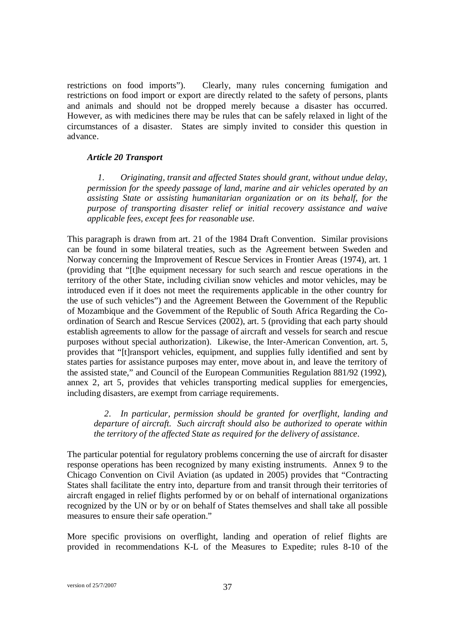restrictions on food imports"). Clearly, many rules concerning fumigation and restrictions on food import or export are directly related to the safety of persons, plants and animals and should not be dropped merely because a disaster has occurred. However, as with medicines there may be rules that can be safely relaxed in light of the circumstances of a disaster. States are simply invited to consider this question in advance.

#### *Article 20 Transport*

*1. Originating, transit and affected States should grant, without undue delay, permission for the speedy passage of land, marine and air vehicles operated by an assisting State or assisting humanitarian organization or on its behalf, for the purpose of transporting disaster relief or initial recovery assistance and waive applicable fees, except fees for reasonable use.* 

This paragraph is drawn from art. 21 of the 1984 Draft Convention. Similar provisions can be found in some bilateral treaties, such as the Agreement between Sweden and Norway concerning the Improvement of Rescue Services in Frontier Areas (1974), art. 1 (providing that "[t]he equipment necessary for such search and rescue operations in the territory of the other State, including civilian snow vehicles and motor vehicles, may be introduced even if it does not meet the requirements applicable in the other country for the use of such vehicles") and the Agreement Between the Government of the Republic of Mozambique and the Government of the Republic of South Africa Regarding the Coordination of Search and Rescue Services (2002), art. 5 (providing that each party should establish agreements to allow for the passage of aircraft and vessels for search and rescue purposes without special authorization). Likewise, the Inter-American Convention, art. 5, provides that "[t]ransport vehicles, equipment, and supplies fully identified and sent by states parties for assistance purposes may enter, move about in, and leave the territory of the assisted state," and Council of the European Communities Regulation 881/92 (1992), annex 2, art 5, provides that vehicles transporting medical supplies for emergencies, including disasters, are exempt from carriage requirements.

*2. In particular, permission should be granted for overflight, landing and departure of aircraft. Such aircraft should also be authorized to operate within the territory of the affected State as required for the delivery of assistance.* 

The particular potential for regulatory problems concerning the use of aircraft for disaster response operations has been recognized by many existing instruments. Annex 9 to the Chicago Convention on Civil Aviation (as updated in 2005) provides that "Contracting States shall facilitate the entry into, departure from and transit through their territories of aircraft engaged in relief flights performed by or on behalf of international organizations recognized by the UN or by or on behalf of States themselves and shall take all possible measures to ensure their safe operation."

More specific provisions on overflight, landing and operation of relief flights are provided in recommendations K-L of the Measures to Expedite; rules 8-10 of the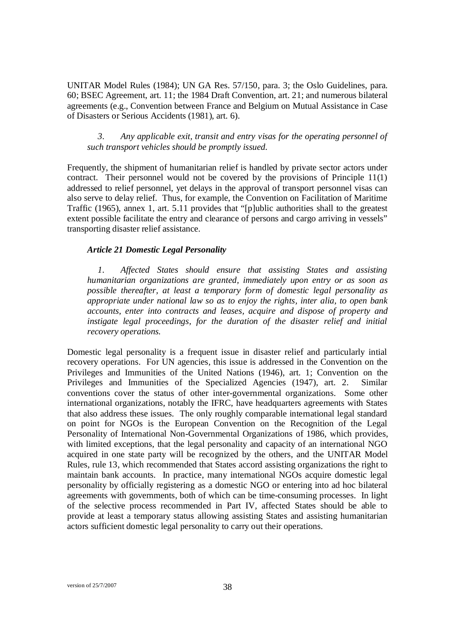UNITAR Model Rules (1984); UN GA Res. 57/150, para. 3; the Oslo Guidelines, para. 60; BSEC Agreement, art. 11; the 1984 Draft Convention, art. 21; and numerous bilateral agreements (e.g., Convention between France and Belgium on Mutual Assistance in Case of Disasters or Serious Accidents (1981), art. 6).

*3. Any applicable exit, transit and entry visas for the operating personnel of such transport vehicles should be promptly issued.* 

Frequently, the shipment of humanitarian relief is handled by private sector actors under contract. Their personnel would not be covered by the provisions of Principle 11(1) addressed to relief personnel, yet delays in the approval of transport personnel visas can also serve to delay relief. Thus, for example, the Convention on Facilitation of Maritime Traffic (1965), annex 1, art. 5.11 provides that "[p]ublic authorities shall to the greatest extent possible facilitate the entry and clearance of persons and cargo arriving in vessels" transporting disaster relief assistance.

#### *Article 21 Domestic Legal Personality*

*1. Affected States should ensure that assisting States and assisting humanitarian organizations are granted, immediately upon entry or as soon as possible thereafter, at least a temporary form of domestic legal personality as appropriate under national law so as to enjoy the rights, inter alia, to open bank accounts, enter into contracts and leases, acquire and dispose of property and instigate legal proceedings, for the duration of the disaster relief and initial recovery operations.*

Domestic legal personality is a frequent issue in disaster relief and particularly intial recovery operations. For UN agencies, this issue is addressed in the Convention on the Privileges and Immunities of the United Nations (1946), art. 1; Convention on the Privileges and Immunities of the Specialized Agencies (1947), art. 2. Similar conventions cover the status of other inter-governmental organizations. Some other international organizations, notably the IFRC, have headquarters agreements with States that also address these issues. The only roughly comparable international legal standard on point for NGOs is the European Convention on the Recognition of the Legal Personality of International Non-Governmental Organizations of 1986, which provides, with limited exceptions, that the legal personality and capacity of an international NGO acquired in one state party will be recognized by the others, and the UNITAR Model Rules, rule 13, which recommended that States accord assisting organizations the right to maintain bank accounts. In practice, many international NGOs acquire domestic legal personality by officially registering as a domestic NGO or entering into ad hoc bilateral agreements with governments, both of which can be time-consuming processes. In light of the selective process recommended in Part IV, affected States should be able to provide at least a temporary status allowing assisting States and assisting humanitarian actors sufficient domestic legal personality to carry out their operations.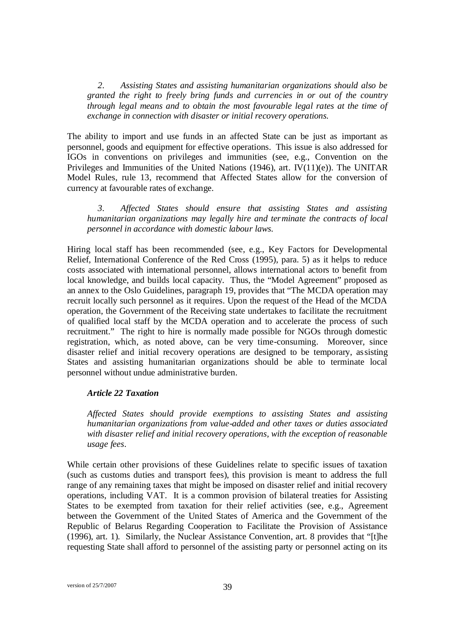*2. Assisting States and assisting humanitarian organizations should also be granted the right to freely bring funds and currencies in or out of the country through legal means and to obtain the most favourable legal rates at the time of exchange in connection with disaster or initial recovery operations.* 

The ability to import and use funds in an affected State can be just as important as personnel, goods and equipment for effective operations. This issue is also addressed for IGOs in conventions on privileges and immunities (see, e.g., Convention on the Privileges and Immunities of the United Nations (1946), art. IV(11)(e)). The UNITAR Model Rules, rule 13, recommend that Affected States allow for the conversion of currency at favourable rates of exchange.

*3. Affected States should ensure that assisting States and assisting humanitarian organizations may legally hire and terminate the contracts of local personnel in accordance with domestic labour laws.*

Hiring local staff has been recommended (see, e.g., Key Factors for Developmental Relief, International Conference of the Red Cross (1995), para. 5) as it helps to reduce costs associated with international personnel, allows international actors to benefit from local knowledge, and builds local capacity. Thus, the "Model Agreement" proposed as an annex to the Oslo Guidelines, paragraph 19, provides that "The MCDA operation may recruit locally such personnel as it requires. Upon the request of the Head of the MCDA operation, the Government of the Receiving state undertakes to facilitate the recruitment of qualified local staff by the MCDA operation and to accelerate the process of such recruitment." The right to hire is normally made possible for NGOs through domestic registration, which, as noted above, can be very time-consuming. Moreover, since disaster relief and initial recovery operations are designed to be temporary, assisting States and assisting humanitarian organizations should be able to terminate local personnel without undue administrative burden.

#### *Article 22 Taxation*

*Affected States should provide exemptions to assisting States and assisting humanitarian organizations from value-added and other taxes or duties associated with disaster relief and initial recovery operations, with the exception of reasonable usage fees*.

While certain other provisions of these Guidelines relate to specific issues of taxation (such as customs duties and transport fees), this provision is meant to address the full range of any remaining taxes that might be imposed on disaster relief and initial recovery operations, including VAT. It is a common provision of bilateral treaties for Assisting States to be exempted from taxation for their relief activities (see, e.g., Agreement between the Government of the United States of America and the Government of the Republic of Belarus Regarding Cooperation to Facilitate the Provision of Assistance (1996), art. 1). Similarly, the Nuclear Assistance Convention, art. 8 provides that "[t]he requesting State shall afford to personnel of the assisting party or personnel acting on its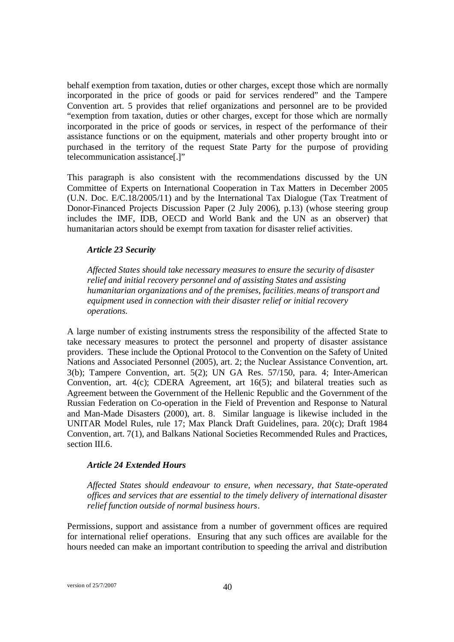behalf exemption from taxation, duties or other charges, except those which are normally incorporated in the price of goods or paid for services rendered" and the Tampere Convention art. 5 provides that relief organizations and personnel are to be provided "exemption from taxation, duties or other charges, except for those which are normally incorporated in the price of goods or services, in respect of the performance of their assistance functions or on the equipment, materials and other property brought into or purchased in the territory of the request State Party for the purpose of providing telecommunication assistance[.]"

This paragraph is also consistent with the recommendations discussed by the UN Committee of Experts on International Cooperation in Tax Matters in December 2005 (U.N. Doc. E/C.18/2005/11) and by the International Tax Dialogue (Tax Treatment of Donor-Financed Projects Discussion Paper (2 July 2006), p.13) (whose steering group includes the IMF, IDB, OECD and World Bank and the UN as an observer) that humanitarian actors should be exempt from taxation for disaster relief activities.

#### *Article 23 Security*

*Affected States should take necessary measures to ensure the security of disaster relief and initial recovery personnel and of assisting States and assisting humanitarian organizations and of the premises, facilities, means of transport and equipment used in connection with their disaster relief or initial recovery operations.*

A large number of existing instruments stress the responsibility of the affected State to take necessary measures to protect the personnel and property of disaster assistance providers. These include the Optional Protocol to the Convention on the Safety of United Nations and Associated Personnel (2005), art. 2; the Nuclear Assistance Convention, art. 3(b); Tampere Convention, art. 5(2); UN GA Res. 57/150, para. 4; Inter-American Convention, art. 4(c); CDERA Agreement, art 16(5); and bilateral treaties such as Agreement between the Government of the Hellenic Republic and the Government of the Russian Federation on Co-operation in the Field of Prevention and Response to Natural and Man-Made Disasters (2000), art. 8. Similar language is likewise included in the UNITAR Model Rules, rule 17; Max Planck Draft Guidelines, para. 20(c); Draft 1984 Convention, art. 7(1), and Balkans National Societies Recommended Rules and Practices, section III.6.

#### *Article 24 Extended Hours*

*Affected States should endeavour to ensure, when necessary, that State-operated offices and services that are essential to the timely delivery of international disaster relief function outside of normal business hours*.

Permissions, support and assistance from a number of government offices are required for international relief operations. Ensuring that any such offices are available for the hours needed can make an important contribution to speeding the arrival and distribution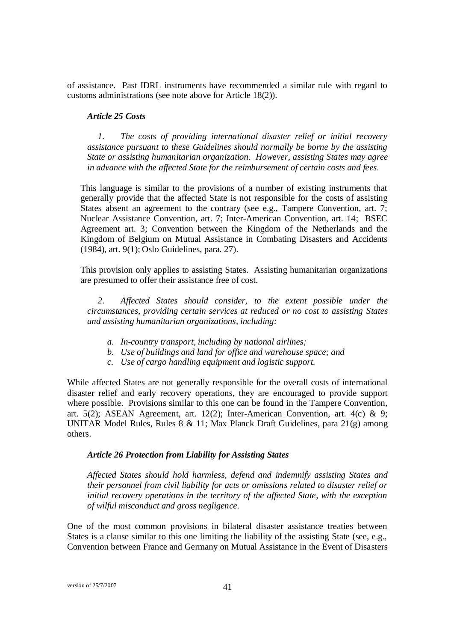of assistance. Past IDRL instruments have recommended a similar rule with regard to customs administrations (see note above for Article 18(2)).

#### *Article 25 Costs*

*1. The costs of providing international disaster relief or initial recovery assistance pursuant to these Guidelines should normally be borne by the assisting State or assisting humanitarian organization. However, assisting States may agree in advance with the af ected State for the reimbursement of certain costs and fees.* 

This language is similar to the provisions of a number of existing instruments that generally provide that the affected State is not responsible for the costs of assisting States absent an agreement to the contrary (see e.g., Tampere Convention, art. 7; Nuclear Assistance Convention, art. 7; Inter-American Convention, art. 14; BSEC Agreement art. 3; Convention between the Kingdom of the Netherlands and the Kingdom of Belgium on Mutual Assistance in Combating Disasters and Accidents (1984), art. 9(1); Oslo Guidelines, para. 27).

This provision only applies to assisting States. Assisting humanitarian organizations are presumed to offer their assistance free of cost.

*2. Affected States should consider, to the extent possible under the circumstances, providing certain services at reduced or no cost to assisting States and assisting humanitarian organizations, including:* 

- *a. In-country transport, including by national airlines;*
- *b. Use of buildings and land for office and warehouse space; and*
- *c. Use of cargo handling equipment and logistic support.*

While affected States are not generally responsible for the overall costs of international disaster relief and early recovery operations, they are encouraged to provide support where possible. Provisions similar to this one can be found in the Tampere Convention, art. 5(2); ASEAN Agreement, art. 12(2); Inter-American Convention, art. 4(c) & 9; UNITAR Model Rules, Rules 8 & 11; Max Planck Draft Guidelines, para 21(g) among others.

#### *Article 26 Protection from Liability for Assisting States*

*Affected States should hold harmless, defend and indemnify assisting States and their personnel from civil liability for acts or omissions related to disaster relief or initial recovery operations in the territory of the affected State, with the exception of wilful misconduct and gross negligence.* 

One of the most common provisions in bilateral disaster assistance treaties between States is a clause similar to this one limiting the liability of the assisting State (see, e.g., Convention between France and Germany on Mutual Assistance in the Event of Disasters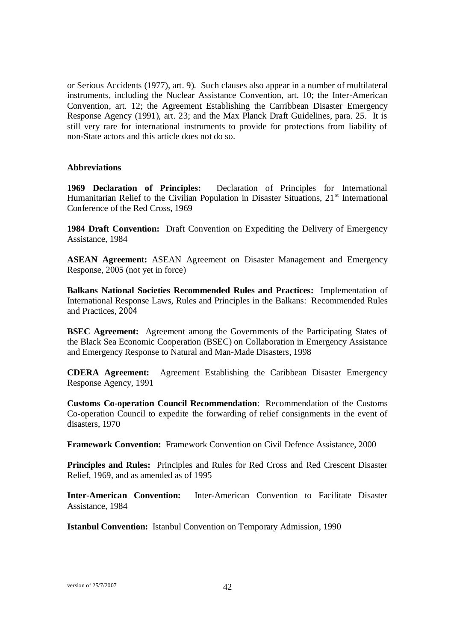or Serious Accidents (1977), art. 9). Such clauses also appear in a number of multilateral instruments, including the Nuclear Assistance Convention, art. 10; the Inter-American Convention, art. 12; the Agreement Establishing the Carribbean Disaster Emergency Response Agency (1991), art. 23; and the Max Planck Draft Guidelines, para. 25. It is still very rare for international instruments to provide for protections from liability of non-State actors and this article does not do so.

#### **Abbreviations**

**1969 Declaration of Principles:** Declaration of Principles for International Humanitarian Relief to the Civilian Population in Disaster Situations,  $21<sup>st</sup>$  International Conference of the Red Cross, 1969

**1984 Draft Convention:** Draft Convention on Expediting the Delivery of Emergency Assistance, 1984

**ASEAN Agreement:** ASEAN Agreement on Disaster Management and Emergency Response, 2005 (not yet in force)

**Balkans National Societies Recommended Rules and Practices:** Implementation of International Response Laws, Rules and Principles in the Balkans: Recommended Rules and Practices, 2004

**BSEC Agreement:** Agreement among the Governments of the Participating States of the Black Sea Economic Cooperation (BSEC) on Collaboration in Emergency Assistance and Emergency Response to Natural and Man-Made Disasters, 1998

**CDERA Agreement:** Agreement Establishing the Caribbean Disaster Emergency Response Agency, 1991

**Customs Co-operation Council Recommendation**: Recommendation of the Customs Co-operation Council to expedite the forwarding of relief consignments in the event of disasters, 1970

**Framework Convention:** Framework Convention on Civil Defence Assistance, 2000

**Principles and Rules:** Principles and Rules for Red Cross and Red Crescent Disaster Relief, 1969, and as amended as of 1995

**Inter-American Convention:** Inter-American Convention to Facilitate Disaster Assistance, 1984

**Istanbul Convention:** Istanbul Convention on Temporary Admission, 1990